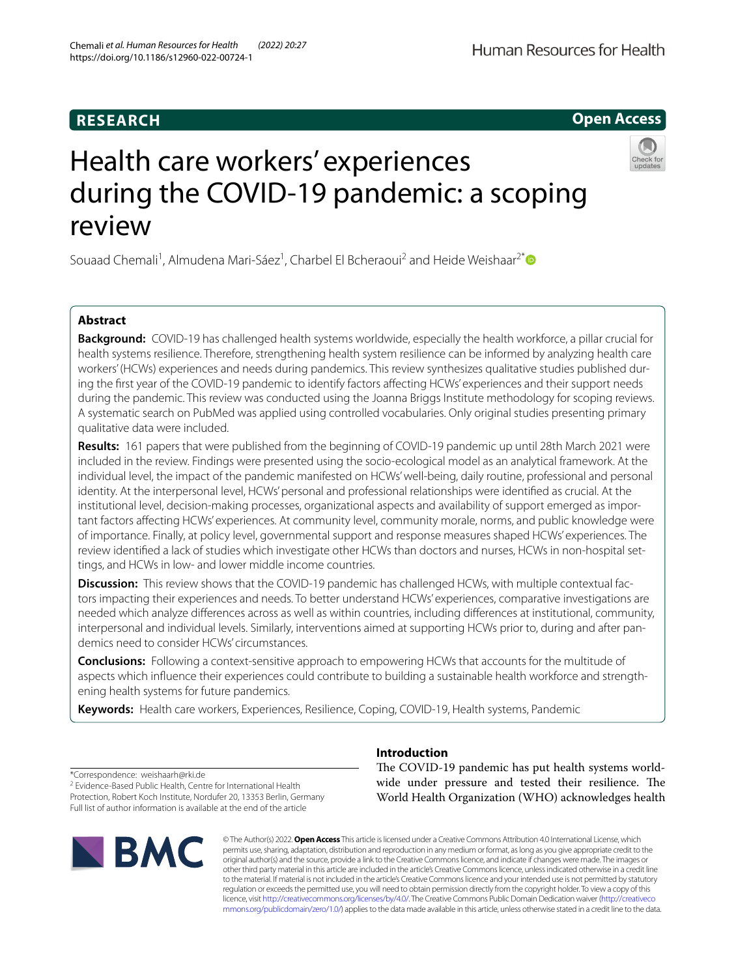# **RESEARCH**

# **Open Access**



# Health care workers' experiences during the COVID-19 pandemic: a scoping review

Souaad Chemali<sup>1</sup>, Almudena Mari-Sáez<sup>1</sup>, Charbel El Bcheraoui<sup>2</sup> and Heide Weishaar<sup>2[\\*](http://orcid.org/0000-0003-1150-0265)</sup>

### **Abstract**

**Background:** COVID-19 has challenged health systems worldwide, especially the health workforce, a pillar crucial for health systems resilience. Therefore, strengthening health system resilience can be informed by analyzing health care workers' (HCWs) experiences and needs during pandemics. This review synthesizes qualitative studies published during the first year of the COVID-19 pandemic to identify factors affecting HCWs' experiences and their support needs during the pandemic. This review was conducted using the Joanna Briggs Institute methodology for scoping reviews. A systematic search on PubMed was applied using controlled vocabularies. Only original studies presenting primary qualitative data were included.

**Results:** 161 papers that were published from the beginning of COVID-19 pandemic up until 28th March 2021 were included in the review. Findings were presented using the socio-ecological model as an analytical framework. At the individual level, the impact of the pandemic manifested on HCWs' well-being, daily routine, professional and personal identity. At the interpersonal level, HCWs' personal and professional relationships were identified as crucial. At the institutional level, decision-making processes, organizational aspects and availability of support emerged as important factors afecting HCWs' experiences. At community level, community morale, norms, and public knowledge were of importance. Finally, at policy level, governmental support and response measures shaped HCWs' experiences. The review identified a lack of studies which investigate other HCWs than doctors and nurses, HCWs in non-hospital settings, and HCWs in low- and lower middle income countries.

**Discussion:** This review shows that the COVID-19 pandemic has challenged HCWs, with multiple contextual factors impacting their experiences and needs. To better understand HCWs' experiences, comparative investigations are needed which analyze diferences across as well as within countries, including diferences at institutional, community, interpersonal and individual levels. Similarly, interventions aimed at supporting HCWs prior to, during and after pandemics need to consider HCWs' circumstances.

**Conclusions:** Following a context-sensitive approach to empowering HCWs that accounts for the multitude of aspects which influence their experiences could contribute to building a sustainable health workforce and strengthening health systems for future pandemics.

**Keywords:** Health care workers, Experiences, Resilience, Coping, COVID-19, Health systems, Pandemic

\*Correspondence: weishaarh@rki.de

<sup>2</sup> Evidence-Based Public Health, Centre for International Health Protection, Robert Koch Institute, Nordufer 20, 13353 Berlin, Germany Full list of author information is available at the end of the article



# **Introduction**

The COVID-19 pandemic has put health systems worldwide under pressure and tested their resilience. The World Health Organization (WHO) acknowledges health

© The Author(s) 2022. **Open Access** This article is licensed under a Creative Commons Attribution 4.0 International License, which permits use, sharing, adaptation, distribution and reproduction in any medium or format, as long as you give appropriate credit to the original author(s) and the source, provide a link to the Creative Commons licence, and indicate if changes were made. The images or other third party material in this article are included in the article's Creative Commons licence, unless indicated otherwise in a credit line to the material. If material is not included in the article's Creative Commons licence and your intended use is not permitted by statutory regulation or exceeds the permitted use, you will need to obtain permission directly from the copyright holder. To view a copy of this licence, visit [http://creativecommons.org/licenses/by/4.0/.](http://creativecommons.org/licenses/by/4.0/) The Creative Commons Public Domain Dedication waiver ([http://creativeco](http://creativecommons.org/publicdomain/zero/1.0/) [mmons.org/publicdomain/zero/1.0/](http://creativecommons.org/publicdomain/zero/1.0/)) applies to the data made available in this article, unless otherwise stated in a credit line to the data.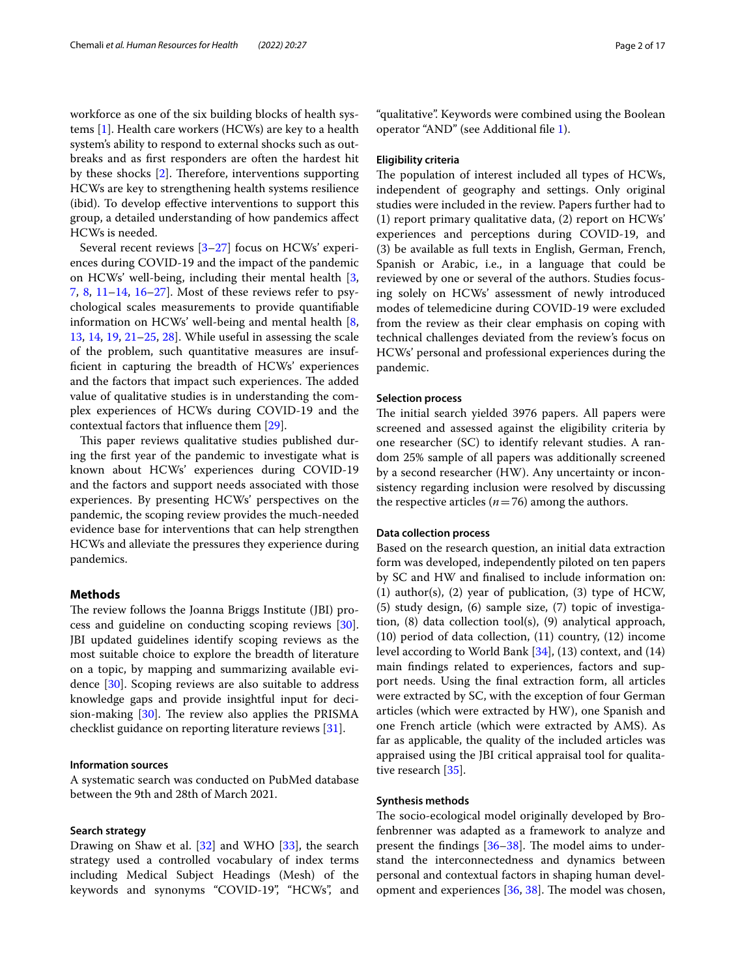workforce as one of the six building blocks of health systems [[1\]](#page-11-0). Health care workers (HCWs) are key to a health system's ability to respond to external shocks such as outbreaks and as frst responders are often the hardest hit by these shocks  $[2]$  $[2]$ . Therefore, interventions supporting HCWs are key to strengthening health systems resilience (ibid). To develop efective interventions to support this group, a detailed understanding of how pandemics afect HCWs is needed.

Several recent reviews [\[3](#page-11-2)[–27\]](#page-12-0) focus on HCWs' experiences during COVID-19 and the impact of the pandemic on HCWs' well-being, including their mental health [\[3](#page-11-2), [7,](#page-11-3) [8](#page-11-4), [11–](#page-12-1)[14](#page-12-2), [16–](#page-12-3)[27\]](#page-12-0). Most of these reviews refer to psychological scales measurements to provide quantifable information on HCWs' well-being and mental health [\[8](#page-11-4), [13,](#page-12-4) [14](#page-12-2), [19](#page-12-5), [21–](#page-12-6)[25,](#page-12-7) [28](#page-12-8)]. While useful in assessing the scale of the problem, such quantitative measures are insuffcient in capturing the breadth of HCWs' experiences and the factors that impact such experiences. The added value of qualitative studies is in understanding the complex experiences of HCWs during COVID-19 and the contextual factors that infuence them [\[29\]](#page-12-9).

This paper reviews qualitative studies published during the frst year of the pandemic to investigate what is known about HCWs' experiences during COVID-19 and the factors and support needs associated with those experiences. By presenting HCWs' perspectives on the pandemic, the scoping review provides the much-needed evidence base for interventions that can help strengthen HCWs and alleviate the pressures they experience during pandemics.

#### **Methods**

The review follows the Joanna Briggs Institute (JBI) process and guideline on conducting scoping reviews [\[30](#page-12-10)]. JBI updated guidelines identify scoping reviews as the most suitable choice to explore the breadth of literature on a topic, by mapping and summarizing available evidence [\[30](#page-12-10)]. Scoping reviews are also suitable to address knowledge gaps and provide insightful input for decision-making  $[30]$  $[30]$ . The review also applies the PRISMA checklist guidance on reporting literature reviews [\[31](#page-12-11)].

#### **Information sources**

A systematic search was conducted on PubMed database between the 9th and 28th of March 2021.

#### **Search strategy**

Drawing on Shaw et al.  $[32]$  $[32]$  and WHO  $[33]$  $[33]$ , the search strategy used a controlled vocabulary of index terms including Medical Subject Headings (Mesh) of the keywords and synonyms "COVID-19", "HCWs", and

"qualitative". Keywords were combined using the Boolean operator "AND" (see Additional fle [1](#page-11-5)).

#### **Eligibility criteria**

The population of interest included all types of HCWs, independent of geography and settings. Only original studies were included in the review. Papers further had to (1) report primary qualitative data, (2) report on HCWs' experiences and perceptions during COVID-19, and (3) be available as full texts in English, German, French, Spanish or Arabic, i.e., in a language that could be reviewed by one or several of the authors. Studies focusing solely on HCWs' assessment of newly introduced modes of telemedicine during COVID-19 were excluded from the review as their clear emphasis on coping with technical challenges deviated from the review's focus on HCWs' personal and professional experiences during the pandemic.

#### **Selection process**

The initial search yielded 3976 papers. All papers were screened and assessed against the eligibility criteria by one researcher (SC) to identify relevant studies. A random 25% sample of all papers was additionally screened by a second researcher (HW). Any uncertainty or inconsistency regarding inclusion were resolved by discussing the respective articles  $(n=76)$  among the authors.

#### **Data collection process**

Based on the research question, an initial data extraction form was developed, independently piloted on ten papers by SC and HW and fnalised to include information on: (1) author(s), (2) year of publication, (3) type of HCW, (5) study design, (6) sample size, (7) topic of investigation, (8) data collection tool(s), (9) analytical approach, (10) period of data collection, (11) country, (12) income level according to World Bank [[34](#page-12-14)], (13) context, and (14) main fndings related to experiences, factors and support needs. Using the fnal extraction form, all articles were extracted by SC, with the exception of four German articles (which were extracted by HW), one Spanish and one French article (which were extracted by AMS). As far as applicable, the quality of the included articles was appraised using the JBI critical appraisal tool for qualitative research [[35\]](#page-12-15).

#### **Synthesis methods**

The socio-ecological model originally developed by Brofenbrenner was adapted as a framework to analyze and present the findings  $[36-38]$  $[36-38]$ . The model aims to understand the interconnectedness and dynamics between personal and contextual factors in shaping human development and experiences  $[36, 38]$  $[36, 38]$  $[36, 38]$  $[36, 38]$  $[36, 38]$ . The model was chosen,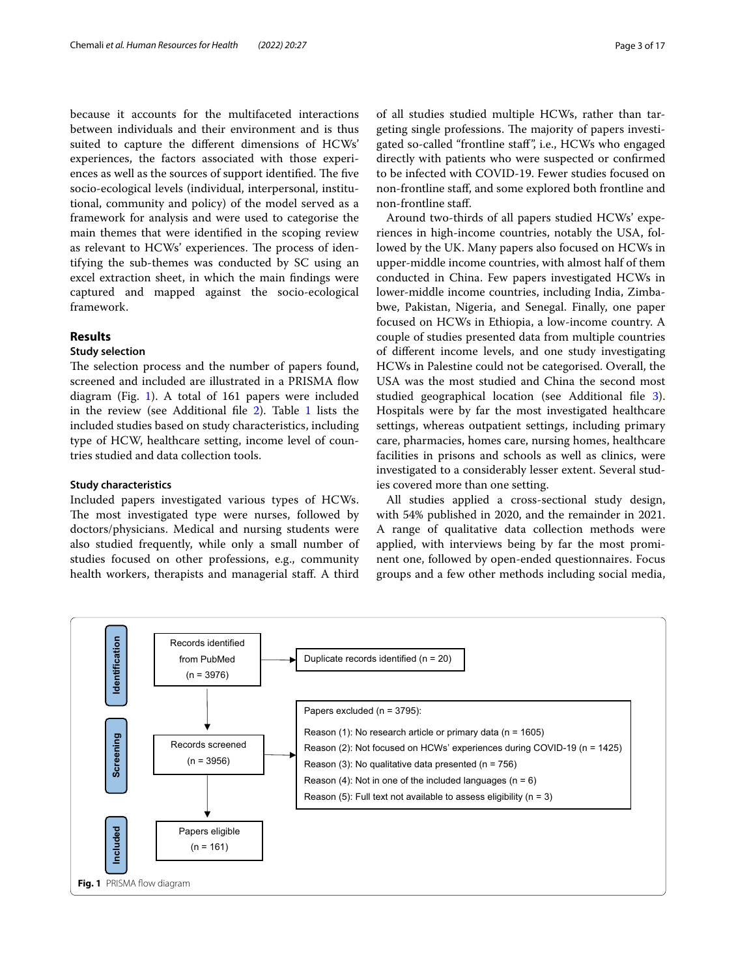because it accounts for the multifaceted interactions between individuals and their environment and is thus suited to capture the diferent dimensions of HCWs' experiences, the factors associated with those experiences as well as the sources of support identified. The five socio-ecological levels (individual, interpersonal, institutional, community and policy) of the model served as a framework for analysis and were used to categorise the main themes that were identifed in the scoping review as relevant to HCWs' experiences. The process of identifying the sub-themes was conducted by SC using an excel extraction sheet, in which the main fndings were captured and mapped against the socio-ecological framework.

#### **Results**

#### **Study selection**

The selection process and the number of papers found, screened and included are illustrated in a PRISMA fow diagram (Fig. [1](#page-2-0)). A total of 161 papers were included in the review (see Additional fle [2](#page-11-6)). Table [1](#page-3-0) lists the included studies based on study characteristics, including type of HCW, healthcare setting, income level of countries studied and data collection tools.

#### **Study characteristics**

Included papers investigated various types of HCWs. The most investigated type were nurses, followed by doctors/physicians. Medical and nursing students were also studied frequently, while only a small number of studies focused on other professions, e.g., community health workers, therapists and managerial staf. A third of all studies studied multiple HCWs, rather than targeting single professions. The majority of papers investigated so-called "frontline staf", i.e., HCWs who engaged directly with patients who were suspected or confrmed to be infected with COVID-19. Fewer studies focused on non-frontline staf, and some explored both frontline and non-frontline staf.

Around two-thirds of all papers studied HCWs' experiences in high-income countries, notably the USA, followed by the UK. Many papers also focused on HCWs in upper-middle income countries, with almost half of them conducted in China. Few papers investigated HCWs in lower-middle income countries, including India, Zimbabwe, Pakistan, Nigeria, and Senegal. Finally, one paper focused on HCWs in Ethiopia, a low-income country. A couple of studies presented data from multiple countries of diferent income levels, and one study investigating HCWs in Palestine could not be categorised. Overall, the USA was the most studied and China the second most studied geographical location (see Additional fle [3](#page-11-7)). Hospitals were by far the most investigated healthcare settings, whereas outpatient settings, including primary care, pharmacies, homes care, nursing homes, healthcare facilities in prisons and schools as well as clinics, were investigated to a considerably lesser extent. Several studies covered more than one setting.

All studies applied a cross-sectional study design, with 54% published in 2020, and the remainder in 2021. A range of qualitative data collection methods were applied, with interviews being by far the most prominent one, followed by open-ended questionnaires. Focus groups and a few other methods including social media,

<span id="page-2-0"></span>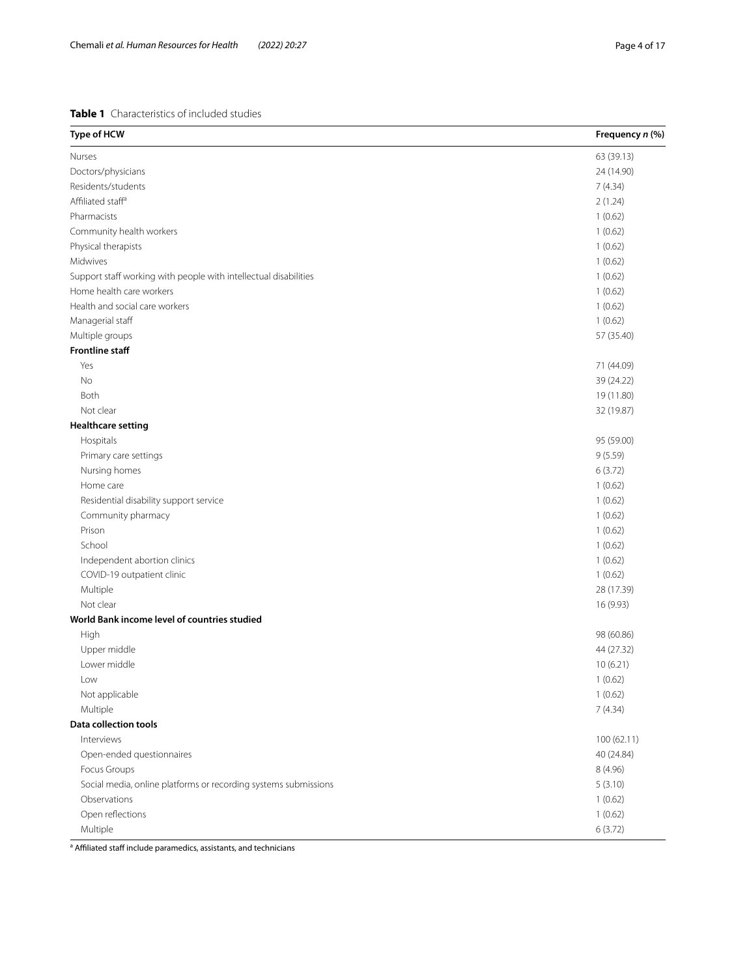#### <span id="page-3-0"></span>**Table 1** Characteristics of included studies

| Type of HCW                                                      | Frequency n (%) |
|------------------------------------------------------------------|-----------------|
| Nurses                                                           | 63 (39.13)      |
| Doctors/physicians                                               | 24 (14.90)      |
| Residents/students                                               | 7(4.34)         |
| Affiliated staff <sup>a</sup>                                    | 2(1.24)         |
| Pharmacists                                                      | 1(0.62)         |
| Community health workers                                         | 1(0.62)         |
| Physical therapists                                              | 1(0.62)         |
| Midwives                                                         | 1(0.62)         |
| Support staff working with people with intellectual disabilities | 1(0.62)         |
| Home health care workers                                         | 1(0.62)         |
| Health and social care workers                                   | 1(0.62)         |
| Managerial staff                                                 | 1(0.62)         |
| Multiple groups                                                  | 57 (35.40)      |
| <b>Frontline staff</b>                                           |                 |
| Yes                                                              | 71 (44.09)      |
| No                                                               | 39 (24.22)      |
| Both                                                             | 19 (11.80)      |
| Not clear                                                        | 32 (19.87)      |
| <b>Healthcare setting</b>                                        |                 |
| Hospitals                                                        | 95 (59.00)      |
| Primary care settings                                            | 9(5.59)         |
| Nursing homes                                                    | 6(3.72)         |
| Home care                                                        | 1(0.62)         |
| Residential disability support service                           | 1(0.62)         |
| Community pharmacy                                               | 1(0.62)         |
| Prison                                                           | 1(0.62)         |
| School                                                           | 1(0.62)         |
| Independent abortion clinics                                     | 1(0.62)         |
| COVID-19 outpatient clinic                                       | 1(0.62)         |
| Multiple                                                         | 28 (17.39)      |
| Not clear                                                        | 16 (9.93)       |
| World Bank income level of countries studied                     |                 |
| High                                                             | 98 (60.86)      |
| Upper middle                                                     | 44 (27.32)      |
| Lower middle                                                     | 10(6.21)        |
| Low                                                              | 1(0.62)         |
| Not applicable                                                   | 1(0.62)         |
| Multiple                                                         | 7(4.34)         |
| Data collection tools                                            |                 |
| Interviews                                                       | 100 (62.11)     |
| Open-ended questionnaires                                        | 40 (24.84)      |
| Focus Groups                                                     | 8 (4.96)        |
| Social media, online platforms or recording systems submissions  | 5(3.10)         |
| Observations                                                     | 1(0.62)         |
| Open reflections                                                 | 1(0.62)         |
| Multiple                                                         | 6(3.72)         |

<sup>a</sup> Affiliated staff include paramedics, assistants, and technicians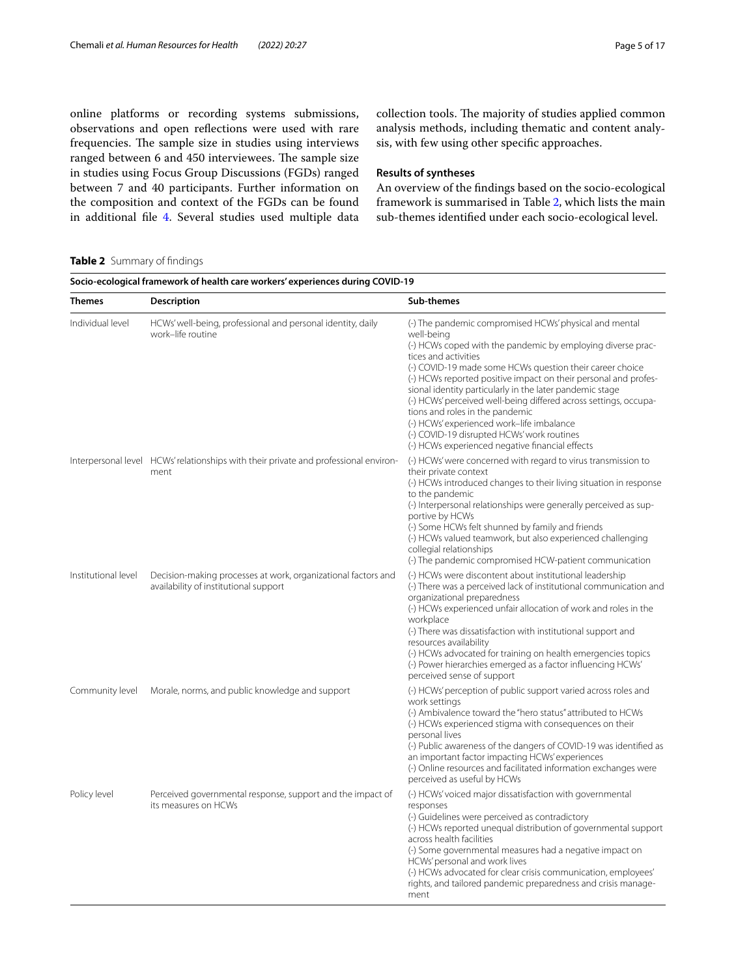online platforms or recording systems submissions, observations and open refections were used with rare frequencies. The sample size in studies using interviews ranged between 6 and 450 interviewees. The sample size in studies using Focus Group Discussions (FGDs) ranged between 7 and 40 participants. Further information on the composition and context of the FGDs can be found in additional fle [4.](#page-11-8) Several studies used multiple data

collection tools. The majority of studies applied common analysis methods, including thematic and content analysis, with few using other specifc approaches.

#### **Results of syntheses**

An overview of the fndings based on the socio-ecological framework is summarised in Table [2,](#page-4-0) which lists the main sub-themes identifed under each socio-ecological level.

#### <span id="page-4-0"></span>**Table 2** Summary of fndings

| Socio-ecological framework of health care workers' experiences during COVID-19 |                                                                                                        |                                                                                                                                                                                                                                                                                                                                                                                                                                                                                                                                                                                                             |  |
|--------------------------------------------------------------------------------|--------------------------------------------------------------------------------------------------------|-------------------------------------------------------------------------------------------------------------------------------------------------------------------------------------------------------------------------------------------------------------------------------------------------------------------------------------------------------------------------------------------------------------------------------------------------------------------------------------------------------------------------------------------------------------------------------------------------------------|--|
| <b>Themes</b>                                                                  | <b>Description</b>                                                                                     | Sub-themes                                                                                                                                                                                                                                                                                                                                                                                                                                                                                                                                                                                                  |  |
| Individual level                                                               | HCWs' well-being, professional and personal identity, daily<br>work-life routine                       | (-) The pandemic compromised HCWs' physical and mental<br>well-being<br>(-) HCWs coped with the pandemic by employing diverse prac-<br>tices and activities<br>(-) COVID-19 made some HCWs question their career choice<br>(-) HCWs reported positive impact on their personal and profes-<br>sional identity particularly in the later pandemic stage<br>(-) HCWs' perceived well-being differed across settings, occupa-<br>tions and roles in the pandemic<br>(-) HCWs' experienced work-life imbalance<br>(-) COVID-19 disrupted HCWs' work routines<br>(-) HCWs experienced negative financial effects |  |
|                                                                                | Interpersonal level HCWs' relationships with their private and professional environ-<br>ment           | (-) HCWs' were concerned with regard to virus transmission to<br>their private context<br>(-) HCWs introduced changes to their living situation in response<br>to the pandemic<br>(-) Interpersonal relationships were generally perceived as sup-<br>portive by HCWs<br>(-) Some HCWs felt shunned by family and friends<br>(-) HCWs valued teamwork, but also experienced challenging<br>collegial relationships<br>(-) The pandemic compromised HCW-patient communication                                                                                                                                |  |
| Institutional level                                                            | Decision-making processes at work, organizational factors and<br>availability of institutional support | (-) HCWs were discontent about institutional leadership<br>(-) There was a perceived lack of institutional communication and<br>organizational preparedness<br>(-) HCWs experienced unfair allocation of work and roles in the<br>workplace<br>(-) There was dissatisfaction with institutional support and<br>resources availability<br>(-) HCWs advocated for training on health emergencies topics<br>(-) Power hierarchies emerged as a factor influencing HCWs'<br>perceived sense of support                                                                                                          |  |
| Community level                                                                | Morale, norms, and public knowledge and support                                                        | (-) HCWs' perception of public support varied across roles and<br>work settings<br>(-) Ambivalence toward the "hero status" attributed to HCWs<br>(-) HCWs experienced stigma with consequences on their<br>personal lives<br>(-) Public awareness of the dangers of COVID-19 was identified as<br>an important factor impacting HCWs' experiences<br>(-) Online resources and facilitated information exchanges were<br>perceived as useful by HCWs                                                                                                                                                        |  |
| Policy level                                                                   | Perceived governmental response, support and the impact of<br>its measures on HCWs                     | (-) HCWs' voiced major dissatisfaction with governmental<br>responses<br>(-) Guidelines were perceived as contradictory<br>(-) HCWs reported unequal distribution of governmental support<br>across health facilities<br>(-) Some governmental measures had a negative impact on<br>HCWs' personal and work lives<br>(-) HCWs advocated for clear crisis communication, employees'<br>rights, and tailored pandemic preparedness and crisis manage-<br>ment                                                                                                                                                 |  |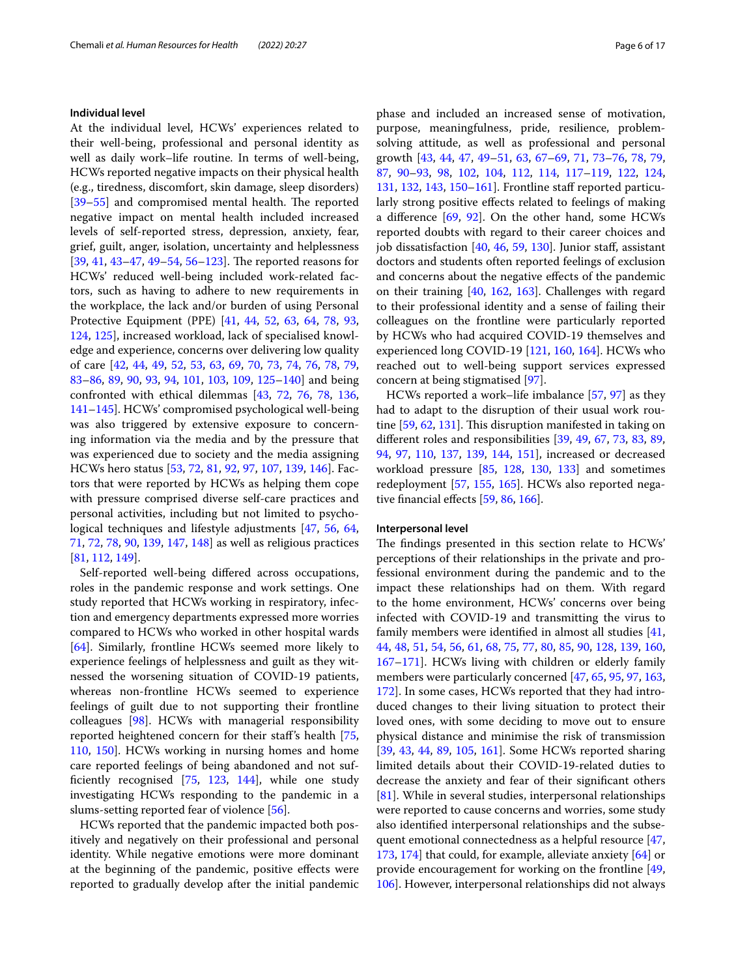#### **Individual level**

At the individual level, HCWs' experiences related to their well-being, professional and personal identity as well as daily work–life routine. In terms of well-being, HCWs reported negative impacts on their physical health (e.g., tiredness, discomfort, skin damage, sleep disorders) [[39–](#page-12-18)[55](#page-13-0)] and compromised mental health. The reported negative impact on mental health included increased levels of self-reported stress, depression, anxiety, fear, grief, guilt, anger, isolation, uncertainty and helplessness  $[39, 41, 43-47, 49-54, 56-123]$  $[39, 41, 43-47, 49-54, 56-123]$  $[39, 41, 43-47, 49-54, 56-123]$  $[39, 41, 43-47, 49-54, 56-123]$  $[39, 41, 43-47, 49-54, 56-123]$  $[39, 41, 43-47, 49-54, 56-123]$  $[39, 41, 43-47, 49-54, 56-123]$  $[39, 41, 43-47, 49-54, 56-123]$  $[39, 41, 43-47, 49-54, 56-123]$  $[39, 41, 43-47, 49-54, 56-123]$  $[39, 41, 43-47, 49-54, 56-123]$  $[39, 41, 43-47, 49-54, 56-123]$ . The reported reasons for HCWs' reduced well-being included work-related factors, such as having to adhere to new requirements in the workplace, the lack and/or burden of using Personal Protective Equipment (PPE) [[41,](#page-12-19) [44,](#page-12-23) [52,](#page-13-3) [63](#page-13-4), [64](#page-13-5), [78](#page-13-6), [93](#page-14-1), [124](#page-14-2), [125](#page-14-3)], increased workload, lack of specialised knowledge and experience, concerns over delivering low quality of care [\[42,](#page-12-24) [44](#page-12-23), [49,](#page-12-22) [52](#page-13-3), [53](#page-13-7), [63,](#page-13-4) [69](#page-13-8), [70,](#page-13-9) [73](#page-13-10), [74,](#page-13-11) [76](#page-13-12), [78,](#page-13-6) [79](#page-13-13), [83](#page-13-14)[–86](#page-13-15), [89](#page-13-16), [90,](#page-13-17) [93,](#page-14-1) [94,](#page-14-4) [101,](#page-14-5) [103,](#page-14-6) [109,](#page-14-7) [125–](#page-14-3)[140\]](#page-15-0) and being confronted with ethical dilemmas [[43,](#page-12-20) [72](#page-13-18), [76,](#page-13-12) [78](#page-13-6), [136](#page-15-1), [141](#page-15-2)[–145](#page-15-3)]. HCWs' compromised psychological well-being was also triggered by extensive exposure to concerning information via the media and by the pressure that was experienced due to society and the media assigning HCWs hero status [[53,](#page-13-7) [72](#page-13-18), [81](#page-13-19), [92,](#page-14-8) [97](#page-14-9), [107](#page-14-10), [139,](#page-15-4) [146](#page-15-5)]. Factors that were reported by HCWs as helping them cope with pressure comprised diverse self-care practices and personal activities, including but not limited to psychological techniques and lifestyle adjustments [[47](#page-12-21), [56](#page-13-2), [64](#page-13-5), [71,](#page-13-20) [72](#page-13-18), [78,](#page-13-6) [90,](#page-13-17) [139](#page-15-4), [147,](#page-15-6) [148](#page-15-7)] as well as religious practices [[81,](#page-13-19) [112](#page-14-11), [149](#page-15-8)].

Self-reported well-being difered across occupations, roles in the pandemic response and work settings. One study reported that HCWs working in respiratory, infection and emergency departments expressed more worries compared to HCWs who worked in other hospital wards [[64\]](#page-13-5). Similarly, frontline HCWs seemed more likely to experience feelings of helplessness and guilt as they witnessed the worsening situation of COVID-19 patients, whereas non-frontline HCWs seemed to experience feelings of guilt due to not supporting their frontline colleagues [\[98](#page-14-12)]. HCWs with managerial responsibility reported heightened concern for their staf's health [\[75](#page-13-21), [110](#page-14-13), [150](#page-15-9)]. HCWs working in nursing homes and home care reported feelings of being abandoned and not suffciently recognised [[75,](#page-13-21) [123](#page-14-0), [144\]](#page-15-10), while one study investigating HCWs responding to the pandemic in a slums-setting reported fear of violence [[56](#page-13-2)].

HCWs reported that the pandemic impacted both positively and negatively on their professional and personal identity. While negative emotions were more dominant at the beginning of the pandemic, positive efects were reported to gradually develop after the initial pandemic phase and included an increased sense of motivation, purpose, meaningfulness, pride, resilience, problemsolving attitude, as well as professional and personal growth [[43](#page-12-20), [44,](#page-12-23) [47](#page-12-21), [49–](#page-12-22)[51](#page-12-25), [63,](#page-13-4) [67](#page-13-22)[–69,](#page-13-8) [71](#page-13-20), [73–](#page-13-10)[76,](#page-13-12) [78,](#page-13-6) [79](#page-13-13), [87,](#page-13-23) [90](#page-13-17)[–93](#page-14-1), [98,](#page-14-12) [102,](#page-14-14) [104](#page-14-15), [112,](#page-14-11) [114,](#page-14-16) [117](#page-14-17)[–119](#page-14-18), [122,](#page-14-19) [124](#page-14-2), [131](#page-15-11), [132](#page-15-12), [143,](#page-15-13) [150](#page-15-9)[–161](#page-15-14)]. Frontline staf reported particularly strong positive efects related to feelings of making a diference [\[69](#page-13-8), [92](#page-14-8)]. On the other hand, some HCWs reported doubts with regard to their career choices and job dissatisfaction [[40,](#page-12-26) [46,](#page-12-27) [59,](#page-13-24) [130\]](#page-14-20). Junior staff, assistant doctors and students often reported feelings of exclusion and concerns about the negative efects of the pandemic on their training [\[40](#page-12-26), [162,](#page-15-15) [163\]](#page-15-16). Challenges with regard to their professional identity and a sense of failing their colleagues on the frontline were particularly reported by HCWs who had acquired COVID-19 themselves and experienced long COVID-19 [[121](#page-14-21), [160,](#page-15-17) [164\]](#page-15-18). HCWs who reached out to well-being support services expressed concern at being stigmatised [\[97\]](#page-14-9).

HCWs reported a work–life imbalance [[57,](#page-13-25) [97\]](#page-14-9) as they had to adapt to the disruption of their usual work routine  $[59, 62, 131]$  $[59, 62, 131]$  $[59, 62, 131]$  $[59, 62, 131]$ . This disruption manifested in taking on diferent roles and responsibilities [\[39](#page-12-18), [49](#page-12-22), [67](#page-13-22), [73](#page-13-10), [83](#page-13-14), [89](#page-13-16), [94,](#page-14-4) [97](#page-14-9), [110,](#page-14-13) [137,](#page-15-19) [139](#page-15-4), [144,](#page-15-10) [151](#page-15-20)], increased or decreased workload pressure [[85](#page-13-27), [128](#page-14-22), [130](#page-14-20), [133](#page-15-21)] and sometimes redeployment [\[57,](#page-13-25) [155,](#page-15-22) [165](#page-15-23)]. HCWs also reported nega-tive financial effects [\[59,](#page-13-24) [86](#page-13-15), [166\]](#page-15-24).

#### **Interpersonal level**

The findings presented in this section relate to HCWs' perceptions of their relationships in the private and professional environment during the pandemic and to the impact these relationships had on them. With regard to the home environment, HCWs' concerns over being infected with COVID-19 and transmitting the virus to family members were identifed in almost all studies [[41](#page-12-19), [44,](#page-12-23) [48](#page-12-28), [51](#page-12-25), [54,](#page-13-1) [56,](#page-13-2) [61,](#page-13-28) [68](#page-13-29), [75](#page-13-21), [77,](#page-13-30) [80,](#page-13-31) [85](#page-13-27), [90](#page-13-17), [128,](#page-14-22) [139,](#page-15-4) [160](#page-15-17), [167](#page-15-25)[–171](#page-15-26)]. HCWs living with children or elderly family members were particularly concerned [[47](#page-12-21), [65,](#page-13-32) [95,](#page-14-23) [97](#page-14-9), [163](#page-15-16), [172](#page-16-0)]. In some cases, HCWs reported that they had introduced changes to their living situation to protect their loved ones, with some deciding to move out to ensure physical distance and minimise the risk of transmission [[39,](#page-12-18) [43,](#page-12-20) [44](#page-12-23), [89](#page-13-16), [105,](#page-14-24) [161\]](#page-15-14). Some HCWs reported sharing limited details about their COVID-19-related duties to decrease the anxiety and fear of their signifcant others [[81\]](#page-13-19). While in several studies, interpersonal relationships were reported to cause concerns and worries, some study also identifed interpersonal relationships and the subsequent emotional connectedness as a helpful resource [[47](#page-12-21), [173](#page-16-1), [174\]](#page-16-2) that could, for example, alleviate anxiety [\[64](#page-13-5)] or provide encouragement for working on the frontline [[49](#page-12-22), [106](#page-14-25)]. However, interpersonal relationships did not always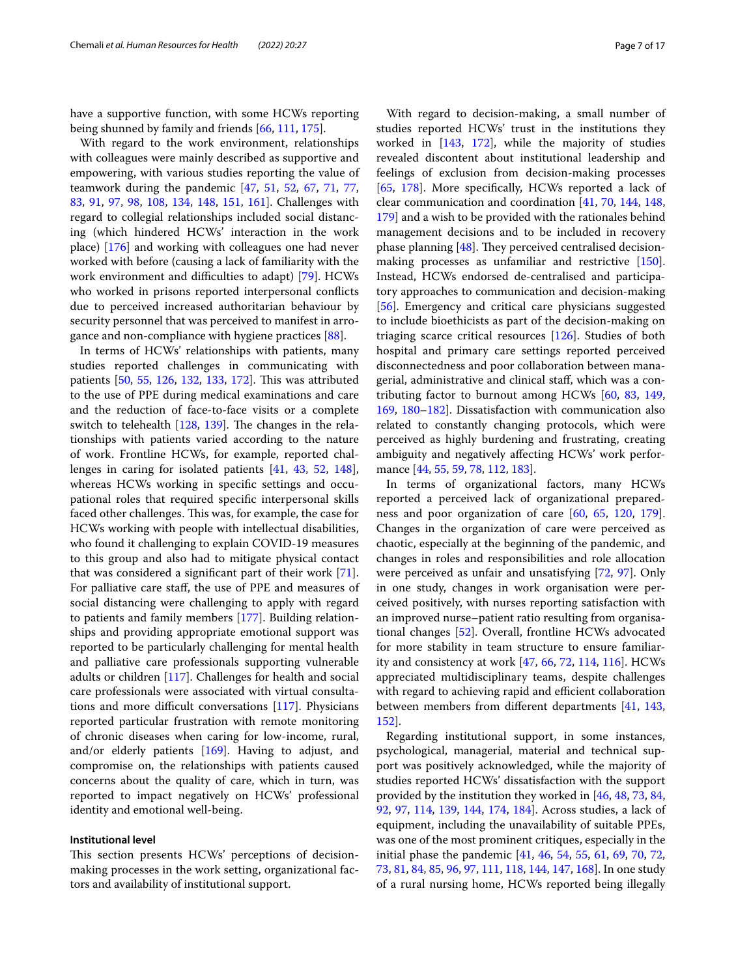have a supportive function, with some HCWs reporting being shunned by family and friends [\[66,](#page-13-33) [111](#page-14-26), [175\]](#page-16-3).

With regard to the work environment, relationships with colleagues were mainly described as supportive and empowering, with various studies reporting the value of teamwork during the pandemic [[47,](#page-12-21) [51,](#page-12-25) [52,](#page-13-3) [67](#page-13-22), [71](#page-13-20), [77](#page-13-30), [83,](#page-13-14) [91](#page-14-27), [97,](#page-14-9) [98](#page-14-12), [108,](#page-14-28) [134,](#page-15-27) [148](#page-15-7), [151,](#page-15-20) [161](#page-15-14)]. Challenges with regard to collegial relationships included social distancing (which hindered HCWs' interaction in the work place) [[176](#page-16-4)] and working with colleagues one had never worked with before (causing a lack of familiarity with the work environment and difficulties to adapt) [\[79](#page-13-13)]. HCWs who worked in prisons reported interpersonal conficts due to perceived increased authoritarian behaviour by security personnel that was perceived to manifest in arrogance and non-compliance with hygiene practices [\[88](#page-13-34)].

In terms of HCWs' relationships with patients, many studies reported challenges in communicating with patients [[50,](#page-12-29) [55,](#page-13-0) [126](#page-14-29), [132](#page-15-12), [133,](#page-15-21) [172\]](#page-16-0). This was attributed to the use of PPE during medical examinations and care and the reduction of face-to-face visits or a complete switch to telehealth  $[128, 139]$  $[128, 139]$  $[128, 139]$  $[128, 139]$  $[128, 139]$ . The changes in the relationships with patients varied according to the nature of work. Frontline HCWs, for example, reported challenges in caring for isolated patients [\[41,](#page-12-19) [43](#page-12-20), [52,](#page-13-3) [148](#page-15-7)], whereas HCWs working in specifc settings and occupational roles that required specifc interpersonal skills faced other challenges. This was, for example, the case for HCWs working with people with intellectual disabilities, who found it challenging to explain COVID-19 measures to this group and also had to mitigate physical contact that was considered a signifcant part of their work [\[71](#page-13-20)]. For palliative care staf, the use of PPE and measures of social distancing were challenging to apply with regard to patients and family members [[177](#page-16-5)]. Building relationships and providing appropriate emotional support was reported to be particularly challenging for mental health and palliative care professionals supporting vulnerable adults or children [[117\]](#page-14-17). Challenges for health and social care professionals were associated with virtual consultations and more difficult conversations  $[117]$  $[117]$ . Physicians reported particular frustration with remote monitoring of chronic diseases when caring for low-income, rural, and/or elderly patients  $[169]$  $[169]$ . Having to adjust, and compromise on, the relationships with patients caused concerns about the quality of care, which in turn, was reported to impact negatively on HCWs' professional identity and emotional well-being.

#### **Institutional level**

This section presents HCWs' perceptions of decisionmaking processes in the work setting, organizational factors and availability of institutional support.

With regard to decision-making, a small number of studies reported HCWs' trust in the institutions they worked in [[143](#page-15-13), [172\]](#page-16-0), while the majority of studies revealed discontent about institutional leadership and feelings of exclusion from decision-making processes [[65,](#page-13-32) [178](#page-16-6)]. More specifcally, HCWs reported a lack of clear communication and coordination [[41,](#page-12-19) [70,](#page-13-9) [144](#page-15-10), [148](#page-15-7), [179](#page-16-7)] and a wish to be provided with the rationales behind management decisions and to be included in recovery phase planning  $[48]$  $[48]$ . They perceived centralised decisionmaking processes as unfamiliar and restrictive [\[150](#page-15-9)]. Instead, HCWs endorsed de-centralised and participatory approaches to communication and decision-making [[56\]](#page-13-2). Emergency and critical care physicians suggested to include bioethicists as part of the decision-making on triaging scarce critical resources [\[126\]](#page-14-29). Studies of both hospital and primary care settings reported perceived disconnectedness and poor collaboration between managerial, administrative and clinical staf, which was a contributing factor to burnout among HCWs [[60](#page-13-35), [83](#page-13-14), [149](#page-15-8), [169](#page-15-28), [180–](#page-16-8)[182\]](#page-16-9). Dissatisfaction with communication also related to constantly changing protocols, which were perceived as highly burdening and frustrating, creating ambiguity and negatively afecting HCWs' work performance [\[44](#page-12-23), [55](#page-13-0), [59,](#page-13-24) [78](#page-13-6), [112](#page-14-11), [183\]](#page-16-10).

In terms of organizational factors, many HCWs reported a perceived lack of organizational preparedness and poor organization of care [[60,](#page-13-35) [65](#page-13-32), [120,](#page-14-30) [179](#page-16-7)]. Changes in the organization of care were perceived as chaotic, especially at the beginning of the pandemic, and changes in roles and responsibilities and role allocation were perceived as unfair and unsatisfying [\[72](#page-13-18), [97\]](#page-14-9). Only in one study, changes in work organisation were perceived positively, with nurses reporting satisfaction with an improved nurse–patient ratio resulting from organisational changes [\[52](#page-13-3)]. Overall, frontline HCWs advocated for more stability in team structure to ensure familiarity and consistency at work [\[47](#page-12-21), [66](#page-13-33), [72,](#page-13-18) [114,](#page-14-16) [116\]](#page-14-31). HCWs appreciated multidisciplinary teams, despite challenges with regard to achieving rapid and efficient collaboration between members from diferent departments [[41,](#page-12-19) [143](#page-15-13), [152](#page-15-29)].

Regarding institutional support, in some instances, psychological, managerial, material and technical support was positively acknowledged, while the majority of studies reported HCWs' dissatisfaction with the support provided by the institution they worked in [\[46,](#page-12-27) [48](#page-12-28), [73,](#page-13-10) [84](#page-13-36), [92,](#page-14-8) [97,](#page-14-9) [114,](#page-14-16) [139,](#page-15-4) [144,](#page-15-10) [174,](#page-16-2) [184](#page-16-11)]. Across studies, a lack of equipment, including the unavailability of suitable PPEs, was one of the most prominent critiques, especially in the initial phase the pandemic [[41](#page-12-19), [46,](#page-12-27) [54,](#page-13-1) [55,](#page-13-0) [61,](#page-13-28) [69](#page-13-8), [70](#page-13-9), [72](#page-13-18), [73,](#page-13-10) [81,](#page-13-19) [84,](#page-13-36) [85](#page-13-27), [96](#page-14-32), [97](#page-14-9), [111,](#page-14-26) [118,](#page-14-33) [144,](#page-15-10) [147,](#page-15-6) [168\]](#page-15-30). In one study of a rural nursing home, HCWs reported being illegally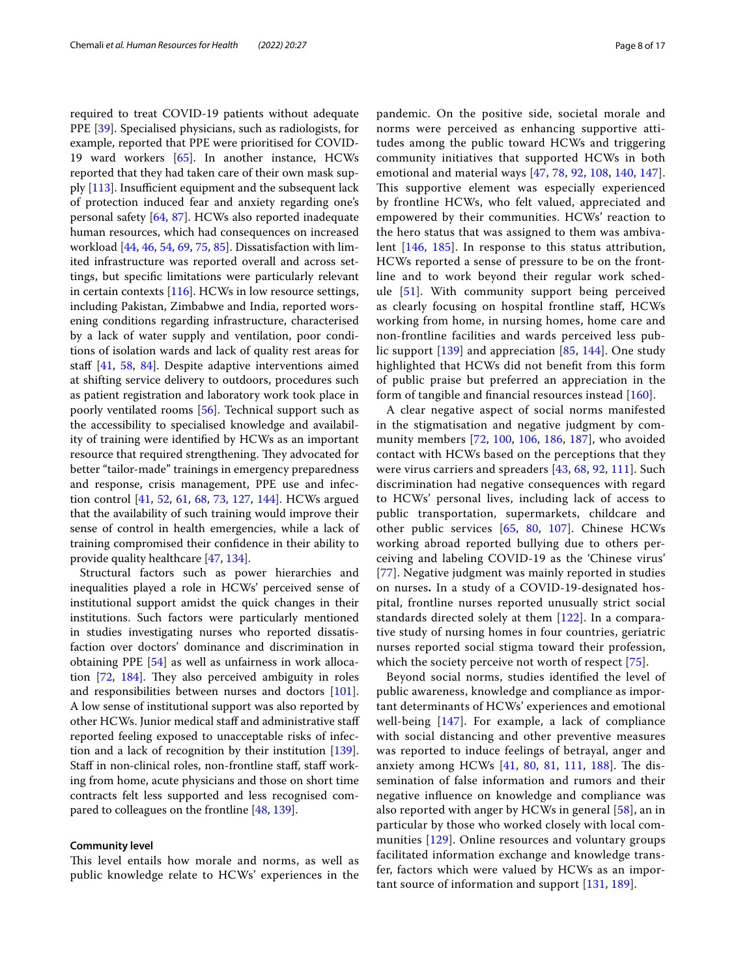required to treat COVID-19 patients without adequate PPE [\[39](#page-12-18)]. Specialised physicians, such as radiologists, for example, reported that PPE were prioritised for COVID-19 ward workers [\[65](#page-13-32)]. In another instance, HCWs reported that they had taken care of their own mask supply  $[113]$  $[113]$  $[113]$ . Insufficient equipment and the subsequent lack of protection induced fear and anxiety regarding one's personal safety [\[64](#page-13-5), [87\]](#page-13-23). HCWs also reported inadequate human resources, which had consequences on increased workload [[44](#page-12-23), [46,](#page-12-27) [54](#page-13-1), [69,](#page-13-8) [75](#page-13-21), [85\]](#page-13-27). Dissatisfaction with limited infrastructure was reported overall and across settings, but specifc limitations were particularly relevant in certain contexts [\[116](#page-14-31)]. HCWs in low resource settings, including Pakistan, Zimbabwe and India, reported worsening conditions regarding infrastructure, characterised by a lack of water supply and ventilation, poor conditions of isolation wards and lack of quality rest areas for staf [\[41](#page-12-19), [58](#page-13-37), [84\]](#page-13-36). Despite adaptive interventions aimed at shifting service delivery to outdoors, procedures such as patient registration and laboratory work took place in poorly ventilated rooms [[56\]](#page-13-2). Technical support such as the accessibility to specialised knowledge and availability of training were identifed by HCWs as an important resource that required strengthening. They advocated for better "tailor-made" trainings in emergency preparedness and response, crisis management, PPE use and infection control [\[41,](#page-12-19) [52](#page-13-3), [61](#page-13-28), [68,](#page-13-29) [73,](#page-13-10) [127,](#page-14-35) [144\]](#page-15-10). HCWs argued that the availability of such training would improve their sense of control in health emergencies, while a lack of training compromised their confdence in their ability to provide quality healthcare [[47](#page-12-21), [134\]](#page-15-27).

Structural factors such as power hierarchies and inequalities played a role in HCWs' perceived sense of institutional support amidst the quick changes in their institutions. Such factors were particularly mentioned in studies investigating nurses who reported dissatisfaction over doctors' dominance and discrimination in obtaining PPE [\[54](#page-13-1)] as well as unfairness in work allocation  $[72, 184]$  $[72, 184]$  $[72, 184]$ . They also perceived ambiguity in roles and responsibilities between nurses and doctors [\[101](#page-14-5)]. A low sense of institutional support was also reported by other HCWs. Junior medical staff and administrative staff reported feeling exposed to unacceptable risks of infection and a lack of recognition by their institution [\[139](#page-15-4)]. Staff in non-clinical roles, non-frontline staff, staff working from home, acute physicians and those on short time contracts felt less supported and less recognised compared to colleagues on the frontline [[48](#page-12-28), [139\]](#page-15-4).

#### **Community level**

This level entails how morale and norms, as well as public knowledge relate to HCWs' experiences in the pandemic. On the positive side, societal morale and norms were perceived as enhancing supportive attitudes among the public toward HCWs and triggering community initiatives that supported HCWs in both emotional and material ways [[47](#page-12-21), [78](#page-13-6), [92](#page-14-8), [108,](#page-14-28) [140,](#page-15-0) [147](#page-15-6)]. This supportive element was especially experienced by frontline HCWs, who felt valued, appreciated and empowered by their communities. HCWs' reaction to the hero status that was assigned to them was ambivalent [\[146](#page-15-5), [185](#page-16-12)]. In response to this status attribution, HCWs reported a sense of pressure to be on the frontline and to work beyond their regular work schedule [[51\]](#page-12-25). With community support being perceived as clearly focusing on hospital frontline staf, HCWs working from home, in nursing homes, home care and non-frontline facilities and wards perceived less public support [[139](#page-15-4)] and appreciation [[85,](#page-13-27) [144](#page-15-10)]. One study highlighted that HCWs did not beneft from this form of public praise but preferred an appreciation in the form of tangible and fnancial resources instead [\[160](#page-15-17)].

A clear negative aspect of social norms manifested in the stigmatisation and negative judgment by community members [[72,](#page-13-18) [100](#page-14-36), [106,](#page-14-25) [186,](#page-16-13) [187](#page-16-14)], who avoided contact with HCWs based on the perceptions that they were virus carriers and spreaders [[43,](#page-12-20) [68,](#page-13-29) [92,](#page-14-8) [111\]](#page-14-26). Such discrimination had negative consequences with regard to HCWs' personal lives, including lack of access to public transportation, supermarkets, childcare and other public services [[65,](#page-13-32) [80,](#page-13-31) [107](#page-14-10)]. Chinese HCWs working abroad reported bullying due to others perceiving and labeling COVID-19 as the 'Chinese virus' [[77](#page-13-30)]. Negative judgment was mainly reported in studies on nurses**.** In a study of a COVID-19-designated hospital, frontline nurses reported unusually strict social standards directed solely at them [[122](#page-14-19)]. In a comparative study of nursing homes in four countries, geriatric nurses reported social stigma toward their profession, which the society perceive not worth of respect [[75\]](#page-13-21).

Beyond social norms, studies identifed the level of public awareness, knowledge and compliance as important determinants of HCWs' experiences and emotional well-being [\[147](#page-15-6)]. For example, a lack of compliance with social distancing and other preventive measures was reported to induce feelings of betrayal, anger and anxiety among HCWs  $[41, 80, 81, 111, 188]$  $[41, 80, 81, 111, 188]$  $[41, 80, 81, 111, 188]$  $[41, 80, 81, 111, 188]$  $[41, 80, 81, 111, 188]$  $[41, 80, 81, 111, 188]$  $[41, 80, 81, 111, 188]$  $[41, 80, 81, 111, 188]$  $[41, 80, 81, 111, 188]$  $[41, 80, 81, 111, 188]$ . The dissemination of false information and rumors and their negative infuence on knowledge and compliance was also reported with anger by HCWs in general [[58\]](#page-13-37), an in particular by those who worked closely with local communities [[129](#page-14-37)]. Online resources and voluntary groups facilitated information exchange and knowledge transfer, factors which were valued by HCWs as an important source of information and support [[131](#page-15-11), [189\]](#page-16-16).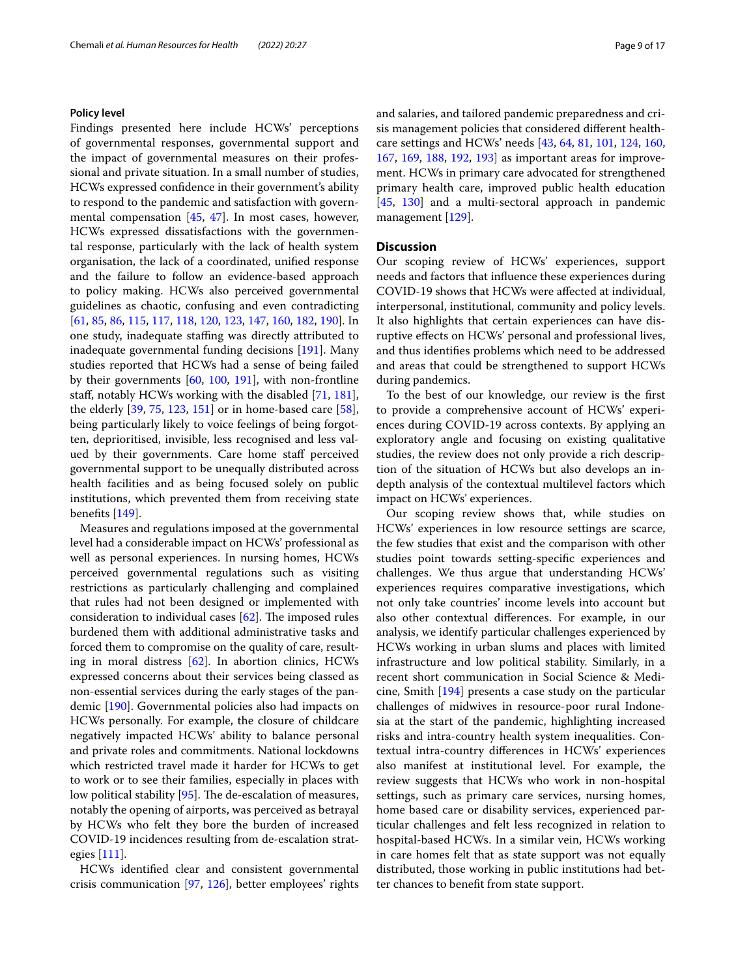#### **Policy level**

Findings presented here include HCWs' perceptions of governmental responses, governmental support and the impact of governmental measures on their professional and private situation. In a small number of studies, HCWs expressed confdence in their government's ability to respond to the pandemic and satisfaction with governmental compensation [[45,](#page-12-30) [47\]](#page-12-21). In most cases, however, HCWs expressed dissatisfactions with the governmental response, particularly with the lack of health system organisation, the lack of a coordinated, unifed response and the failure to follow an evidence-based approach to policy making. HCWs also perceived governmental guidelines as chaotic, confusing and even contradicting [[61,](#page-13-28) [85](#page-13-27), [86,](#page-13-15) [115](#page-14-38), [117,](#page-14-17) [118](#page-14-33), [120,](#page-14-30) [123](#page-14-0), [147,](#page-15-6) [160,](#page-15-17) [182](#page-16-9), [190\]](#page-16-17). In one study, inadequate staffing was directly attributed to inadequate governmental funding decisions [[191\]](#page-16-18). Many studies reported that HCWs had a sense of being failed by their governments [\[60](#page-13-35), [100,](#page-14-36) [191](#page-16-18)], with non-frontline staf, notably HCWs working with the disabled [[71](#page-13-20), [181](#page-16-19)], the elderly [[39,](#page-12-18) [75,](#page-13-21) [123,](#page-14-0) [151](#page-15-20)] or in home-based care [\[58](#page-13-37)], being particularly likely to voice feelings of being forgotten, deprioritised, invisible, less recognised and less valued by their governments. Care home staf perceived governmental support to be unequally distributed across health facilities and as being focused solely on public institutions, which prevented them from receiving state benefts [\[149](#page-15-8)].

Measures and regulations imposed at the governmental level had a considerable impact on HCWs' professional as well as personal experiences. In nursing homes, HCWs perceived governmental regulations such as visiting restrictions as particularly challenging and complained that rules had not been designed or implemented with consideration to individual cases  $[62]$  $[62]$ . The imposed rules burdened them with additional administrative tasks and forced them to compromise on the quality of care, resulting in moral distress [\[62](#page-13-26)]. In abortion clinics, HCWs expressed concerns about their services being classed as non-essential services during the early stages of the pandemic [[190\]](#page-16-17). Governmental policies also had impacts on HCWs personally. For example, the closure of childcare negatively impacted HCWs' ability to balance personal and private roles and commitments. National lockdowns which restricted travel made it harder for HCWs to get to work or to see their families, especially in places with low political stability  $[95]$ . The de-escalation of measures, notably the opening of airports, was perceived as betrayal by HCWs who felt they bore the burden of increased COVID-19 incidences resulting from de-escalation strategies [\[111](#page-14-26)].

HCWs identifed clear and consistent governmental crisis communication [\[97](#page-14-9), [126](#page-14-29)], better employees' rights and salaries, and tailored pandemic preparedness and crisis management policies that considered diferent healthcare settings and HCWs' needs [\[43](#page-12-20), [64,](#page-13-5) [81,](#page-13-19) [101](#page-14-5), [124,](#page-14-2) [160](#page-15-17), [167](#page-15-25), [169,](#page-15-28) [188,](#page-16-15) [192,](#page-16-20) [193\]](#page-16-21) as important areas for improvement. HCWs in primary care advocated for strengthened primary health care, improved public health education [[45,](#page-12-30) [130](#page-14-20)] and a multi-sectoral approach in pandemic management [\[129](#page-14-37)].

#### **Discussion**

Our scoping review of HCWs' experiences, support needs and factors that infuence these experiences during COVID-19 shows that HCWs were afected at individual, interpersonal, institutional, community and policy levels. It also highlights that certain experiences can have disruptive efects on HCWs' personal and professional lives, and thus identifes problems which need to be addressed and areas that could be strengthened to support HCWs during pandemics.

To the best of our knowledge, our review is the frst to provide a comprehensive account of HCWs' experiences during COVID-19 across contexts. By applying an exploratory angle and focusing on existing qualitative studies, the review does not only provide a rich description of the situation of HCWs but also develops an indepth analysis of the contextual multilevel factors which impact on HCWs' experiences.

Our scoping review shows that, while studies on HCWs' experiences in low resource settings are scarce, the few studies that exist and the comparison with other studies point towards setting-specifc experiences and challenges. We thus argue that understanding HCWs' experiences requires comparative investigations, which not only take countries' income levels into account but also other contextual diferences. For example, in our analysis, we identify particular challenges experienced by HCWs working in urban slums and places with limited infrastructure and low political stability. Similarly, in a recent short communication in Social Science & Medicine, Smith [[194](#page-16-22)] presents a case study on the particular challenges of midwives in resource-poor rural Indonesia at the start of the pandemic, highlighting increased risks and intra-country health system inequalities. Contextual intra-country diferences in HCWs' experiences also manifest at institutional level. For example, the review suggests that HCWs who work in non-hospital settings, such as primary care services, nursing homes, home based care or disability services, experienced particular challenges and felt less recognized in relation to hospital-based HCWs. In a similar vein, HCWs working in care homes felt that as state support was not equally distributed, those working in public institutions had better chances to beneft from state support.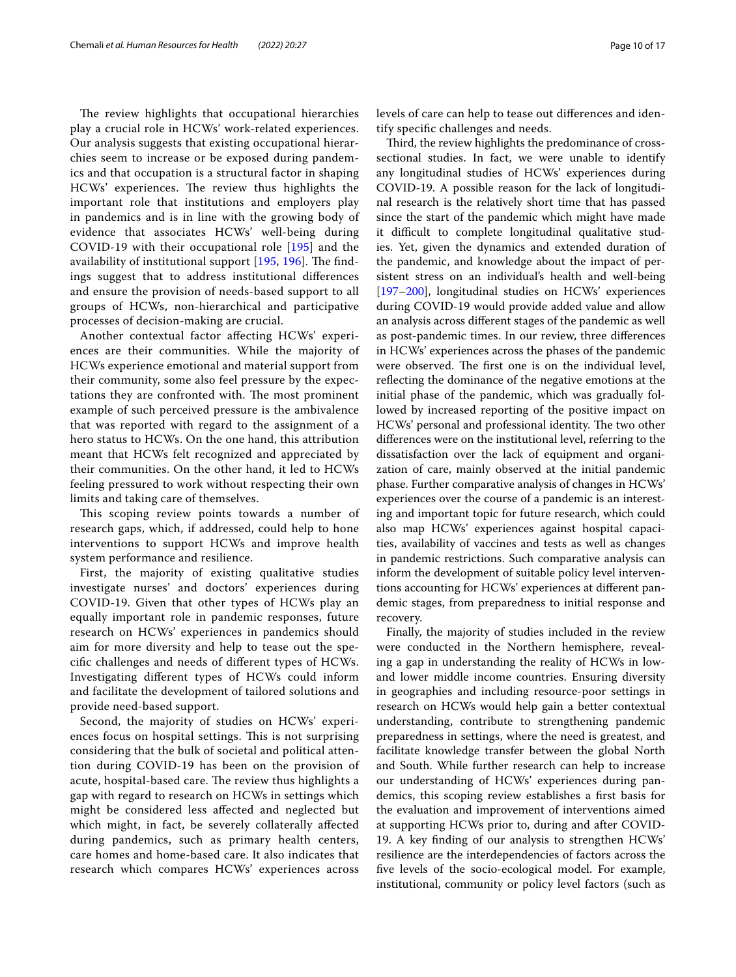The review highlights that occupational hierarchies play a crucial role in HCWs' work-related experiences. Our analysis suggests that existing occupational hierarchies seem to increase or be exposed during pandemics and that occupation is a structural factor in shaping HCWs' experiences. The review thus highlights the important role that institutions and employers play in pandemics and is in line with the growing body of evidence that associates HCWs' well-being during COVID-19 with their occupational role [\[195\]](#page-16-23) and the availability of institutional support  $[195, 196]$  $[195, 196]$  $[195, 196]$  $[195, 196]$ . The findings suggest that to address institutional diferences and ensure the provision of needs-based support to all groups of HCWs, non-hierarchical and participative processes of decision-making are crucial.

Another contextual factor afecting HCWs' experiences are their communities. While the majority of HCWs experience emotional and material support from their community, some also feel pressure by the expectations they are confronted with. The most prominent example of such perceived pressure is the ambivalence that was reported with regard to the assignment of a hero status to HCWs. On the one hand, this attribution meant that HCWs felt recognized and appreciated by their communities. On the other hand, it led to HCWs feeling pressured to work without respecting their own limits and taking care of themselves.

This scoping review points towards a number of research gaps, which, if addressed, could help to hone interventions to support HCWs and improve health system performance and resilience.

First, the majority of existing qualitative studies investigate nurses' and doctors' experiences during COVID-19. Given that other types of HCWs play an equally important role in pandemic responses, future research on HCWs' experiences in pandemics should aim for more diversity and help to tease out the specifc challenges and needs of diferent types of HCWs. Investigating diferent types of HCWs could inform and facilitate the development of tailored solutions and provide need-based support.

Second, the majority of studies on HCWs' experiences focus on hospital settings. This is not surprising considering that the bulk of societal and political attention during COVID-19 has been on the provision of acute, hospital-based care. The review thus highlights a gap with regard to research on HCWs in settings which might be considered less afected and neglected but which might, in fact, be severely collaterally afected during pandemics, such as primary health centers, care homes and home-based care. It also indicates that research which compares HCWs' experiences across levels of care can help to tease out diferences and identify specifc challenges and needs.

Third, the review highlights the predominance of crosssectional studies. In fact, we were unable to identify any longitudinal studies of HCWs' experiences during COVID-19. A possible reason for the lack of longitudinal research is the relatively short time that has passed since the start of the pandemic which might have made it difficult to complete longitudinal qualitative studies. Yet, given the dynamics and extended duration of the pandemic, and knowledge about the impact of persistent stress on an individual's health and well-being [[197–](#page-16-25)[200](#page-16-26)], longitudinal studies on HCWs' experiences during COVID-19 would provide added value and allow an analysis across diferent stages of the pandemic as well as post-pandemic times. In our review, three diferences in HCWs' experiences across the phases of the pandemic were observed. The first one is on the individual level, refecting the dominance of the negative emotions at the initial phase of the pandemic, which was gradually followed by increased reporting of the positive impact on HCWs' personal and professional identity. The two other diferences were on the institutional level, referring to the dissatisfaction over the lack of equipment and organization of care, mainly observed at the initial pandemic phase. Further comparative analysis of changes in HCWs' experiences over the course of a pandemic is an interesting and important topic for future research, which could also map HCWs' experiences against hospital capacities, availability of vaccines and tests as well as changes in pandemic restrictions. Such comparative analysis can inform the development of suitable policy level interventions accounting for HCWs' experiences at diferent pandemic stages, from preparedness to initial response and recovery.

Finally, the majority of studies included in the review were conducted in the Northern hemisphere, revealing a gap in understanding the reality of HCWs in lowand lower middle income countries. Ensuring diversity in geographies and including resource-poor settings in research on HCWs would help gain a better contextual understanding, contribute to strengthening pandemic preparedness in settings, where the need is greatest, and facilitate knowledge transfer between the global North and South. While further research can help to increase our understanding of HCWs' experiences during pandemics, this scoping review establishes a frst basis for the evaluation and improvement of interventions aimed at supporting HCWs prior to, during and after COVID-19. A key fnding of our analysis to strengthen HCWs' resilience are the interdependencies of factors across the fve levels of the socio-ecological model. For example, institutional, community or policy level factors (such as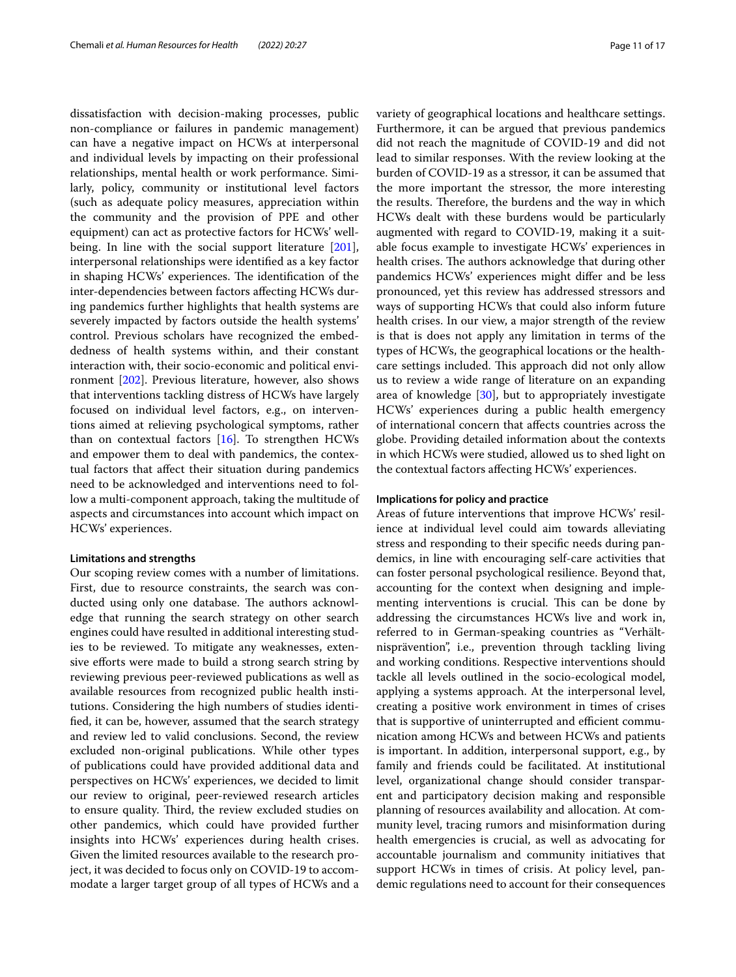dissatisfaction with decision-making processes, public non-compliance or failures in pandemic management) can have a negative impact on HCWs at interpersonal and individual levels by impacting on their professional relationships, mental health or work performance. Similarly, policy, community or institutional level factors (such as adequate policy measures, appreciation within the community and the provision of PPE and other equipment) can act as protective factors for HCWs' well-being. In line with the social support literature [\[201](#page-16-27)], interpersonal relationships were identifed as a key factor in shaping HCWs' experiences. The identification of the inter-dependencies between factors afecting HCWs during pandemics further highlights that health systems are severely impacted by factors outside the health systems' control. Previous scholars have recognized the embeddedness of health systems within, and their constant interaction with, their socio-economic and political environment [\[202\]](#page-16-28). Previous literature, however, also shows that interventions tackling distress of HCWs have largely focused on individual level factors, e.g., on interventions aimed at relieving psychological symptoms, rather than on contextual factors [[16](#page-12-3)]. To strengthen HCWs and empower them to deal with pandemics, the contextual factors that afect their situation during pandemics need to be acknowledged and interventions need to follow a multi-component approach, taking the multitude of aspects and circumstances into account which impact on HCWs' experiences.

#### **Limitations and strengths**

Our scoping review comes with a number of limitations. First, due to resource constraints, the search was conducted using only one database. The authors acknowledge that running the search strategy on other search engines could have resulted in additional interesting studies to be reviewed. To mitigate any weaknesses, extensive efforts were made to build a strong search string by reviewing previous peer-reviewed publications as well as available resources from recognized public health institutions. Considering the high numbers of studies identifed, it can be, however, assumed that the search strategy and review led to valid conclusions. Second, the review excluded non-original publications. While other types of publications could have provided additional data and perspectives on HCWs' experiences, we decided to limit our review to original, peer-reviewed research articles to ensure quality. Third, the review excluded studies on other pandemics, which could have provided further insights into HCWs' experiences during health crises. Given the limited resources available to the research project, it was decided to focus only on COVID-19 to accommodate a larger target group of all types of HCWs and a variety of geographical locations and healthcare settings. Furthermore, it can be argued that previous pandemics did not reach the magnitude of COVID-19 and did not lead to similar responses. With the review looking at the burden of COVID-19 as a stressor, it can be assumed that the more important the stressor, the more interesting the results. Therefore, the burdens and the way in which HCWs dealt with these burdens would be particularly augmented with regard to COVID-19, making it a suitable focus example to investigate HCWs' experiences in health crises. The authors acknowledge that during other pandemics HCWs' experiences might difer and be less pronounced, yet this review has addressed stressors and ways of supporting HCWs that could also inform future health crises. In our view, a major strength of the review is that is does not apply any limitation in terms of the types of HCWs, the geographical locations or the healthcare settings included. This approach did not only allow us to review a wide range of literature on an expanding area of knowledge [\[30](#page-12-10)], but to appropriately investigate HCWs' experiences during a public health emergency of international concern that afects countries across the globe. Providing detailed information about the contexts in which HCWs were studied, allowed us to shed light on the contextual factors afecting HCWs' experiences.

#### **Implications for policy and practice**

Areas of future interventions that improve HCWs' resilience at individual level could aim towards alleviating stress and responding to their specifc needs during pandemics, in line with encouraging self-care activities that can foster personal psychological resilience. Beyond that, accounting for the context when designing and implementing interventions is crucial. This can be done by addressing the circumstances HCWs live and work in, referred to in German-speaking countries as "Verhältnisprävention", i.e., prevention through tackling living and working conditions. Respective interventions should tackle all levels outlined in the socio-ecological model, applying a systems approach. At the interpersonal level, creating a positive work environment in times of crises that is supportive of uninterrupted and efficient communication among HCWs and between HCWs and patients is important. In addition, interpersonal support, e.g., by family and friends could be facilitated. At institutional level, organizational change should consider transparent and participatory decision making and responsible planning of resources availability and allocation. At community level, tracing rumors and misinformation during health emergencies is crucial, as well as advocating for accountable journalism and community initiatives that support HCWs in times of crisis. At policy level, pandemic regulations need to account for their consequences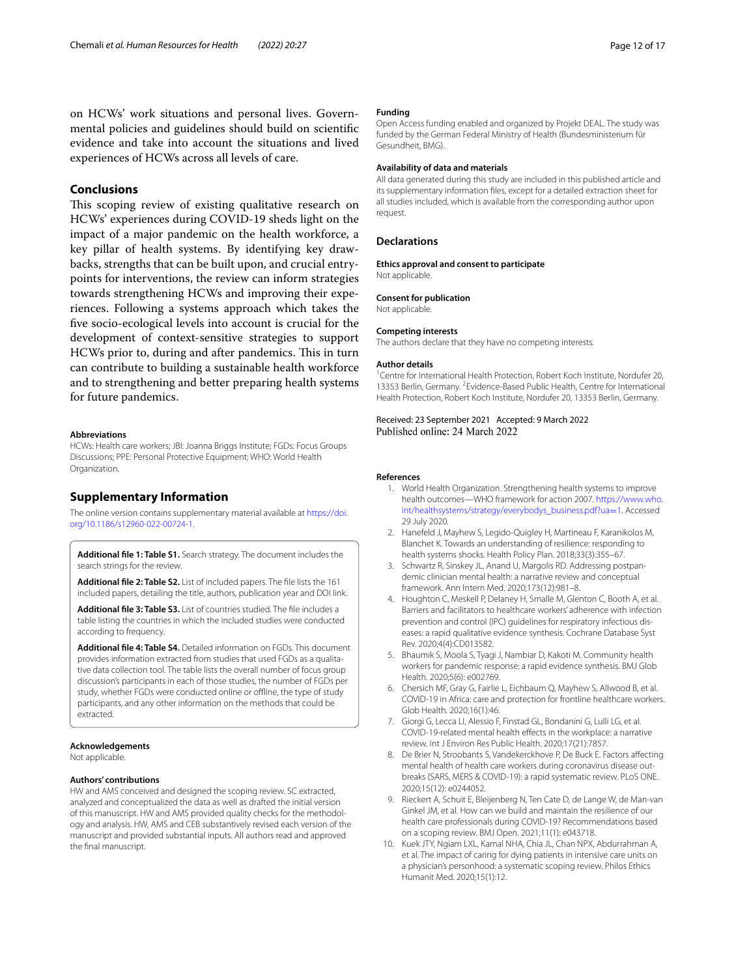on HCWs' work situations and personal lives. Governmental policies and guidelines should build on scientifc evidence and take into account the situations and lived experiences of HCWs across all levels of care.

#### **Conclusions**

This scoping review of existing qualitative research on HCWs' experiences during COVID-19 sheds light on the impact of a major pandemic on the health workforce, a key pillar of health systems. By identifying key drawbacks, strengths that can be built upon, and crucial entrypoints for interventions, the review can inform strategies towards strengthening HCWs and improving their experiences. Following a systems approach which takes the fve socio-ecological levels into account is crucial for the development of context-sensitive strategies to support HCWs prior to, during and after pandemics. This in turn can contribute to building a sustainable health workforce and to strengthening and better preparing health systems for future pandemics.

#### **Abbreviations**

HCWs: Health care workers; JBI: Joanna Briggs Institute; FGDs: Focus Groups Discussions; PPE: Personal Protective Equipment; WHO: World Health Organization.

#### **Supplementary Information**

The online version contains supplementary material available at [https://doi.](https://doi.org/10.1186/s12960-022-00724-1) [org/10.1186/s12960-022-00724-1](https://doi.org/10.1186/s12960-022-00724-1).

<span id="page-11-6"></span><span id="page-11-5"></span>**Additional fle 1: Table S1.** Search strategy. The document includes the search strings for the review.

<span id="page-11-7"></span>**Additional fle 2: Table S2.** List of included papers. The fle lists the 161 included papers, detailing the title, authors, publication year and DOI link.

**Additional fle 3: Table S3.** List of countries studied. The fle includes a table listing the countries in which the included studies were conducted according to frequency.

<span id="page-11-8"></span>**Additional fle 4: Table S4.** Detailed information on FGDs. This document provides information extracted from studies that used FGDs as a qualitative data collection tool. The table lists the overall number of focus group discussion's participants in each of those studies, the number of FGDs per study, whether FGDs were conducted online or offline, the type of study participants, and any other information on the methods that could be extracted.

#### **Acknowledgements**

Not applicable.

#### **Authors' contributions**

HW and AMS conceived and designed the scoping review. SC extracted, analyzed and conceptualized the data as well as drafted the initial version of this manuscript. HW and AMS provided quality checks for the methodology and analysis. HW, AMS and CEB substantively revised each version of the manuscript and provided substantial inputs. All authors read and approved the fnal manuscript.

#### **Funding**

Open Access funding enabled and organized by Projekt DEAL. The study was funded by the German Federal Ministry of Health (Bundesministerium für Gesundheit, BMG).

#### **Availability of data and materials**

All data generated during this study are included in this published article and its supplementary information fles, except for a detailed extraction sheet for all studies included, which is available from the corresponding author upon request.

#### **Declarations**

Not applicable.

**Ethics approval and consent to participate**

#### **Consent for publication**

Not applicable.

#### **Competing interests**

The authors declare that they have no competing interests.

#### **Author details**

<sup>1</sup> Centre for International Health Protection, Robert Koch Institute, Nordufer 20, 13353 Berlin, Germany. <sup>2</sup> Evidence-Based Public Health, Centre for International Health Protection, Robert Koch Institute, Nordufer 20, 13353 Berlin, Germany.

# Received: 23 September 2021 Accepted: 9 March 2022

#### <span id="page-11-0"></span>**References**

- 1. World Health Organization. Strengthening health systems to improve health outcomes—WHO framework for action 2007. [https://www.who.](https://www.who.int/healthsystems/strategy/everybodys_business.pdf?ua=1) [int/healthsystems/strategy/everybodys\\_business.pdf?ua](https://www.who.int/healthsystems/strategy/everybodys_business.pdf?ua=1)=1. Accessed 29 July 2020.
- <span id="page-11-1"></span>2. Hanefeld J, Mayhew S, Legido-Quigley H, Martineau F, Karanikolos M, Blanchet K. Towards an understanding of resilience: responding to health systems shocks. Health Policy Plan. 2018;33(3):355–67.
- <span id="page-11-2"></span>3. Schwartz R, Sinskey JL, Anand U, Margolis RD. Addressing postpandemic clinician mental health: a narrative review and conceptual framework. Ann Intern Med. 2020;173(12):981–8.
- 4. Houghton C, Meskell P, Delaney H, Smalle M, Glenton C, Booth A, et al. Barriers and facilitators to healthcare workers' adherence with infection prevention and control (IPC) guidelines for respiratory infectious diseases: a rapid qualitative evidence synthesis. Cochrane Database Syst Rev. 2020;4(4):CD013582.
- 5. Bhaumik S, Moola S, Tyagi J, Nambiar D, Kakoti M. Community health workers for pandemic response: a rapid evidence synthesis. BMJ Glob Health. 2020;5(6): e002769.
- 6. Chersich MF, Gray G, Fairlie L, Eichbaum Q, Mayhew S, Allwood B, et al. COVID-19 in Africa: care and protection for frontline healthcare workers. Glob Health. 2020;16(1):46.
- <span id="page-11-3"></span>7. Giorgi G, Lecca LI, Alessio F, Finstad GL, Bondanini G, Lulli LG, et al. COVID-19-related mental health effects in the workplace: a narrative review. Int J Environ Res Public Health. 2020;17(21):7857.
- <span id="page-11-4"></span>8. De Brier N, Stroobants S, Vandekerckhove P, De Buck E. Factors afecting mental health of health care workers during coronavirus disease outbreaks (SARS, MERS & COVID-19): a rapid systematic review. PLoS ONE. 2020;15(12): e0244052.
- 9. Rieckert A, Schuit E, Bleijenberg N, Ten Cate D, de Lange W, de Man-van Ginkel JM, et al. How can we build and maintain the resilience of our health care professionals during COVID-19? Recommendations based on a scoping review. BMJ Open. 2021;11(1): e043718.
- 10. Kuek JTY, Ngiam LXL, Kamal NHA, Chia JL, Chan NPX, Abdurrahman A, et al. The impact of caring for dying patients in intensive care units on a physician's personhood: a systematic scoping review. Philos Ethics Humanit Med. 2020;15(1):12.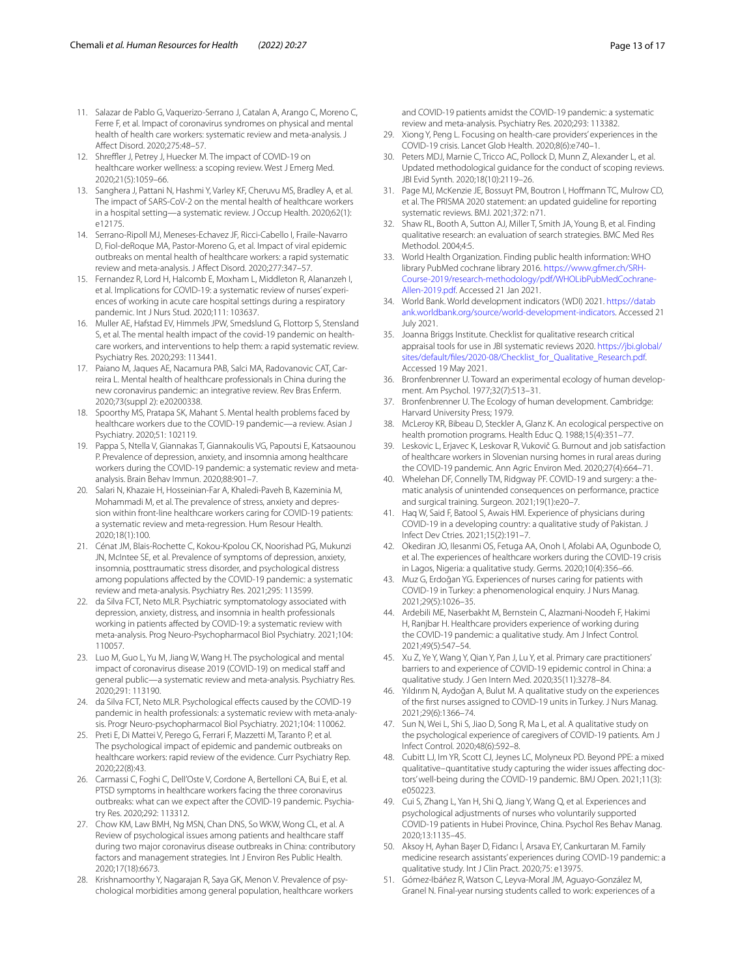- <span id="page-12-1"></span>11. Salazar de Pablo G, Vaquerizo-Serrano J, Catalan A, Arango C, Moreno C, Ferre F, et al. Impact of coronavirus syndromes on physical and mental health of health care workers: systematic review and meta-analysis. J Afect Disord. 2020;275:48–57.
- 12. Shreffler J, Petrey J, Huecker M. The impact of COVID-19 on healthcare worker wellness: a scoping review. West J Emerg Med. 2020;21(5):1059–66.
- <span id="page-12-4"></span>13. Sanghera J, Pattani N, Hashmi Y, Varley KF, Cheruvu MS, Bradley A, et al. The impact of SARS-CoV-2 on the mental health of healthcare workers in a hospital setting—a systematic review. J Occup Health. 2020;62(1): e12175.
- <span id="page-12-2"></span>14. Serrano-Ripoll MJ, Meneses-Echavez JF, Ricci-Cabello I, Fraile-Navarro D, Fiol-deRoque MA, Pastor-Moreno G, et al. Impact of viral epidemic outbreaks on mental health of healthcare workers: a rapid systematic review and meta-analysis. J Afect Disord. 2020;277:347–57.
- 15. Fernandez R, Lord H, Halcomb E, Moxham L, Middleton R, Alananzeh I, et al. Implications for COVID-19: a systematic review of nurses' experiences of working in acute care hospital settings during a respiratory pandemic. Int J Nurs Stud. 2020;111: 103637.
- <span id="page-12-3"></span>16. Muller AE, Hafstad EV, Himmels JPW, Smedslund G, Flottorp S, Stensland S, et al. The mental health impact of the covid-19 pandemic on healthcare workers, and interventions to help them: a rapid systematic review. Psychiatry Res. 2020;293: 113441.
- 17. Paiano M, Jaques AE, Nacamura PAB, Salci MA, Radovanovic CAT, Carreira L. Mental health of healthcare professionals in China during the new coronavirus pandemic: an integrative review. Rev Bras Enferm. 2020;73(suppl 2): e20200338.
- 18. Spoorthy MS, Pratapa SK, Mahant S. Mental health problems faced by healthcare workers due to the COVID-19 pandemic—a review. Asian J Psychiatry. 2020;51: 102119.
- <span id="page-12-5"></span>19. Pappa S, Ntella V, Giannakas T, Giannakoulis VG, Papoutsi E, Katsaounou P. Prevalence of depression, anxiety, and insomnia among healthcare workers during the COVID-19 pandemic: a systematic review and metaanalysis. Brain Behav Immun. 2020;88:901–7.
- 20. Salari N, Khazaie H, Hosseinian-Far A, Khaledi-Paveh B, Kazeminia M, Mohammadi M, et al. The prevalence of stress, anxiety and depression within front-line healthcare workers caring for COVID-19 patients: a systematic review and meta-regression. Hum Resour Health. 2020;18(1):100.
- <span id="page-12-6"></span>21. Cénat JM, Blais-Rochette C, Kokou-Kpolou CK, Noorishad PG, Mukunzi JN, McIntee SE, et al. Prevalence of symptoms of depression, anxiety, insomnia, posttraumatic stress disorder, and psychological distress among populations afected by the COVID-19 pandemic: a systematic review and meta-analysis. Psychiatry Res. 2021;295: 113599.
- 22. da Silva FCT, Neto MLR. Psychiatric symptomatology associated with depression, anxiety, distress, and insomnia in health professionals working in patients afected by COVID-19: a systematic review with meta-analysis. Prog Neuro-Psychopharmacol Biol Psychiatry. 2021;104: 110057.
- 23. Luo M, Guo L, Yu M, Jiang W, Wang H. The psychological and mental impact of coronavirus disease 2019 (COVID-19) on medical staff and general public—a systematic review and meta-analysis. Psychiatry Res. 2020;291: 113190.
- 24. da Silva FCT, Neto MLR. Psychological effects caused by the COVID-19 pandemic in health professionals: a systematic review with meta-analysis. Progr Neuro-psychopharmacol Biol Psychiatry. 2021;104: 110062.
- <span id="page-12-7"></span>25. Preti E, Di Mattei V, Perego G, Ferrari F, Mazzetti M, Taranto P, et al. The psychological impact of epidemic and pandemic outbreaks on healthcare workers: rapid review of the evidence. Curr Psychiatry Rep. 2020;22(8):43.
- 26. Carmassi C, Foghi C, Dell'Oste V, Cordone A, Bertelloni CA, Bui E, et al. PTSD symptoms in healthcare workers facing the three coronavirus outbreaks: what can we expect after the COVID-19 pandemic. Psychiatry Res. 2020;292: 113312.
- <span id="page-12-0"></span>27. Chow KM, Law BMH, Ng MSN, Chan DNS, So WKW, Wong CL, et al. A Review of psychological issues among patients and healthcare staf during two major coronavirus disease outbreaks in China: contributory factors and management strategies. Int J Environ Res Public Health. 2020;17(18):6673.
- <span id="page-12-8"></span>Krishnamoorthy Y, Nagarajan R, Saya GK, Menon V. Prevalence of psychological morbidities among general population, healthcare workers

and COVID-19 patients amidst the COVID-19 pandemic: a systematic review and meta-analysis. Psychiatry Res. 2020;293: 113382.

- <span id="page-12-9"></span>29. Xiong Y, Peng L. Focusing on health-care providers' experiences in the COVID-19 crisis. Lancet Glob Health. 2020;8(6):e740–1.
- <span id="page-12-10"></span>30. Peters MDJ, Marnie C, Tricco AC, Pollock D, Munn Z, Alexander L, et al. Updated methodological guidance for the conduct of scoping reviews. JBI Evid Synth. 2020;18(10):2119–26.
- <span id="page-12-11"></span>31. Page MJ, McKenzie JE, Bossuyt PM, Boutron I, Hofmann TC, Mulrow CD, et al. The PRISMA 2020 statement: an updated guideline for reporting systematic reviews. BMJ. 2021;372: n71.
- <span id="page-12-12"></span>32. Shaw RL, Booth A, Sutton AJ, Miller T, Smith JA, Young B, et al. Finding qualitative research: an evaluation of search strategies. BMC Med Res Methodol. 2004;4:5.
- <span id="page-12-13"></span>33. World Health Organization. Finding public health information: WHO library PubMed cochrane library 2016. [https://www.gfmer.ch/SRH-](https://www.gfmer.ch/SRH-Course-2019/research-methodology/pdf/WHOLibPubMedCochrane-Allen-2019.pdf) [Course-2019/research-methodology/pdf/WHOLibPubMedCochrane-](https://www.gfmer.ch/SRH-Course-2019/research-methodology/pdf/WHOLibPubMedCochrane-Allen-2019.pdf) [Allen-2019.pdf.](https://www.gfmer.ch/SRH-Course-2019/research-methodology/pdf/WHOLibPubMedCochrane-Allen-2019.pdf) Accessed 21 Jan 2021.
- <span id="page-12-14"></span>34. World Bank. World development indicators (WDI) 2021. [https://datab](https://databank.worldbank.org/source/world-development-indicators) [ank.worldbank.org/source/world-development-indicators.](https://databank.worldbank.org/source/world-development-indicators) Accessed 21 July 2021.
- <span id="page-12-15"></span>35. Joanna Briggs Institute. Checklist for qualitative research critical appraisal tools for use in JBI systematic reviews 2020. [https://jbi.global/](https://jbi.global/sites/default/files/2020-08/Checklist_for_Qualitative_Research.pdf) [sites/default/fles/2020-08/Checklist\\_for\\_Qualitative\\_Research.pdf](https://jbi.global/sites/default/files/2020-08/Checklist_for_Qualitative_Research.pdf). Accessed 19 May 2021.
- <span id="page-12-16"></span>36. Bronfenbrenner U. Toward an experimental ecology of human development. Am Psychol. 1977;32(7):513–31.
- 37. Bronfenbrenner U. The Ecology of human development. Cambridge: Harvard University Press; 1979.
- <span id="page-12-17"></span>38. McLeroy KR, Bibeau D, Steckler A, Glanz K. An ecological perspective on health promotion programs. Health Educ Q. 1988;15(4):351–77.
- <span id="page-12-18"></span>39. Leskovic L, Erjavec K, Leskovar R, Vukovič G. Burnout and job satisfaction of healthcare workers in Slovenian nursing homes in rural areas during the COVID-19 pandemic. Ann Agric Environ Med. 2020;27(4):664–71.
- <span id="page-12-26"></span>40. Whelehan DF, Connelly TM, Ridgway PF. COVID-19 and surgery: a thematic analysis of unintended consequences on performance, practice and surgical training. Surgeon. 2021;19(1):e20–7.
- <span id="page-12-19"></span>41. Haq W, Said F, Batool S, Awais HM. Experience of physicians during COVID-19 in a developing country: a qualitative study of Pakistan. J Infect Dev Ctries. 2021;15(2):191–7.
- <span id="page-12-24"></span>42. Okediran JO, Ilesanmi OS, Fetuga AA, Onoh I, Afolabi AA, Ogunbode O, et al. The experiences of healthcare workers during the COVID-19 crisis in Lagos, Nigeria: a qualitative study. Germs. 2020;10(4):356–66.
- <span id="page-12-20"></span>43. Muz G, Erdoğan YG. Experiences of nurses caring for patients with COVID-19 in Turkey: a phenomenological enquiry. J Nurs Manag. 2021;29(5):1026–35.
- <span id="page-12-23"></span>44. Ardebili ME, Naserbakht M, Bernstein C, Alazmani-Noodeh F, Hakimi H, Ranjbar H. Healthcare providers experience of working during the COVID-19 pandemic: a qualitative study. Am J Infect Control. 2021;49(5):547–54.
- <span id="page-12-30"></span>45. Xu Z, Ye Y, Wang Y, Qian Y, Pan J, Lu Y, et al. Primary care practitioners' barriers to and experience of COVID-19 epidemic control in China: a qualitative study. J Gen Intern Med. 2020;35(11):3278–84.
- <span id="page-12-27"></span>46. Yıldırım N, Aydoğan A, Bulut M. A qualitative study on the experiences of the frst nurses assigned to COVID-19 units in Turkey. J Nurs Manag. 2021;29(6):1366–74.
- <span id="page-12-21"></span>47. Sun N, Wei L, Shi S, Jiao D, Song R, Ma L, et al. A qualitative study on the psychological experience of caregivers of COVID-19 patients. Am J Infect Control. 2020;48(6):592–8.
- <span id="page-12-28"></span>48. Cubitt LJ, Im YR, Scott CJ, Jeynes LC, Molyneux PD. Beyond PPE: a mixed qualitative–quantitative study capturing the wider issues affecting doctors' well-being during the COVID-19 pandemic. BMJ Open. 2021;11(3): e050223.
- <span id="page-12-22"></span>49. Cui S, Zhang L, Yan H, Shi Q, Jiang Y, Wang Q, et al. Experiences and psychological adjustments of nurses who voluntarily supported COVID-19 patients in Hubei Province, China. Psychol Res Behav Manag. 2020;13:1135–45.
- <span id="page-12-29"></span>50. Aksoy H, Ayhan Başer D, Fidancı İ, Arsava EY, Cankurtaran M. Family medicine research assistants' experiences during COVID-19 pandemic: a qualitative study. Int J Clin Pract. 2020;75: e13975.
- <span id="page-12-25"></span>51. Gómez-Ibáñez R, Watson C, Leyva-Moral JM, Aguayo-González M, Granel N. Final-year nursing students called to work: experiences of a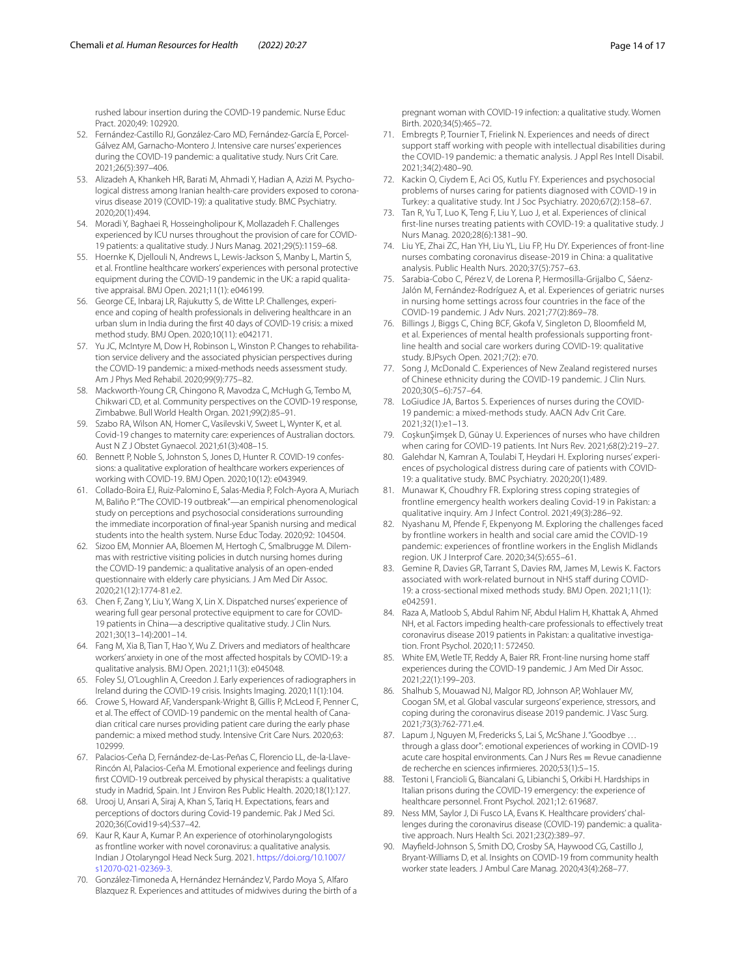rushed labour insertion during the COVID-19 pandemic. Nurse Educ Pract. 2020;49: 102920.

- <span id="page-13-3"></span>52. Fernández-Castillo RJ, González-Caro MD, Fernández-García E, Porcel-Gálvez AM, Garnacho-Montero J. Intensive care nurses' experiences during the COVID-19 pandemic: a qualitative study. Nurs Crit Care. 2021;26(5):397–406.
- <span id="page-13-7"></span>53. Alizadeh A, Khankeh HR, Barati M, Ahmadi Y, Hadian A, Azizi M. Psychological distress among Iranian health-care providers exposed to coronavirus disease 2019 (COVID-19): a qualitative study. BMC Psychiatry. 2020;20(1):494.
- <span id="page-13-1"></span>54. Moradi Y, Baghaei R, Hosseingholipour K, Mollazadeh F. Challenges experienced by ICU nurses throughout the provision of care for COVID-19 patients: a qualitative study. J Nurs Manag. 2021;29(5):1159–68.
- <span id="page-13-0"></span>55. Hoernke K, Djellouli N, Andrews L, Lewis-Jackson S, Manby L, Martin S, et al. Frontline healthcare workers' experiences with personal protective equipment during the COVID-19 pandemic in the UK: a rapid qualitative appraisal. BMJ Open. 2021;11(1): e046199.
- <span id="page-13-2"></span>56. George CE, Inbaraj LR, Rajukutty S, de Witte LP. Challenges, experience and coping of health professionals in delivering healthcare in an urban slum in India during the frst 40 days of COVID-19 crisis: a mixed method study. BMJ Open. 2020;10(11): e042171.
- <span id="page-13-25"></span>57. Yu JC, McIntyre M, Dow H, Robinson L, Winston P. Changes to rehabilitation service delivery and the associated physician perspectives during the COVID-19 pandemic: a mixed-methods needs assessment study. Am J Phys Med Rehabil. 2020;99(9):775–82.
- <span id="page-13-37"></span>58. Mackworth-Young CR, Chingono R, Mavodza C, McHugh G, Tembo M, Chikwari CD, et al. Community perspectives on the COVID-19 response, Zimbabwe. Bull World Health Organ. 2021;99(2):85–91.
- <span id="page-13-24"></span>Szabo RA, Wilson AN, Homer C, Vasilevski V, Sweet L, Wynter K, et al. Covid-19 changes to maternity care: experiences of Australian doctors. Aust N Z J Obstet Gynaecol. 2021;61(3):408–15.
- <span id="page-13-35"></span>60. Bennett P, Noble S, Johnston S, Jones D, Hunter R. COVID-19 confessions: a qualitative exploration of healthcare workers experiences of working with COVID-19. BMJ Open. 2020;10(12): e043949.
- <span id="page-13-28"></span>61. Collado-Boira EJ, Ruiz-Palomino E, Salas-Media P, Folch-Ayora A, Muriach M, Baliño P. "The COVID-19 outbreak"—an empirical phenomenological study on perceptions and psychosocial considerations surrounding the immediate incorporation of fnal-year Spanish nursing and medical students into the health system. Nurse Educ Today. 2020;92: 104504.
- <span id="page-13-26"></span>62. Sizoo EM, Monnier AA, Bloemen M, Hertogh C, Smalbrugge M. Dilemmas with restrictive visiting policies in dutch nursing homes during the COVID-19 pandemic: a qualitative analysis of an open-ended questionnaire with elderly care physicians. J Am Med Dir Assoc. 2020;21(12):1774-81.e2.
- <span id="page-13-4"></span>63. Chen F, Zang Y, Liu Y, Wang X, Lin X. Dispatched nurses' experience of wearing full gear personal protective equipment to care for COVID-19 patients in China—a descriptive qualitative study. J Clin Nurs. 2021;30(13–14):2001–14.
- <span id="page-13-5"></span>64. Fang M, Xia B, Tian T, Hao Y, Wu Z. Drivers and mediators of healthcare workers' anxiety in one of the most afected hospitals by COVID-19: a qualitative analysis. BMJ Open. 2021;11(3): e045048.
- <span id="page-13-32"></span>65. Foley SJ, O'Loughlin A, Creedon J. Early experiences of radiographers in Ireland during the COVID-19 crisis. Insights Imaging. 2020;11(1):104.
- <span id="page-13-33"></span>66. Crowe S, Howard AF, Vanderspank-Wright B, Gillis P, McLeod F, Penner C, et al. The effect of COVID-19 pandemic on the mental health of Canadian critical care nurses providing patient care during the early phase pandemic: a mixed method study. Intensive Crit Care Nurs. 2020;63: 102999.
- <span id="page-13-22"></span>67. Palacios-Ceña D, Fernández-de-Las-Peñas C, Florencio LL, de-la-Llave-Rincón AI, Palacios-Ceña M. Emotional experience and feelings during frst COVID-19 outbreak perceived by physical therapists: a qualitative study in Madrid, Spain. Int J Environ Res Public Health. 2020;18(1):127.
- <span id="page-13-29"></span>68. Urooj U, Ansari A, Siraj A, Khan S, Tariq H. Expectations, fears and perceptions of doctors during Covid-19 pandemic. Pak J Med Sci. 2020;36(Covid19-s4):S37–42.
- <span id="page-13-8"></span>69. Kaur R, Kaur A, Kumar P. An experience of otorhinolaryngologists as frontline worker with novel coronavirus: a qualitative analysis. Indian J Otolaryngol Head Neck Surg. 2021. [https://doi.org/10.1007/](https://doi.org/10.1007/s12070-021-02369-3) [s12070-021-02369-3](https://doi.org/10.1007/s12070-021-02369-3).
- <span id="page-13-9"></span>70. González-Timoneda A, Hernández Hernández V, Pardo Moya S, Alfaro Blazquez R. Experiences and attitudes of midwives during the birth of a

pregnant woman with COVID-19 infection: a qualitative study. Women Birth. 2020;34(5):465–72.

- <span id="page-13-20"></span>71. Embregts P, Tournier T, Frielink N. Experiences and needs of direct support staff working with people with intellectual disabilities during the COVID-19 pandemic: a thematic analysis. J Appl Res Intell Disabil. 2021;34(2):480–90.
- <span id="page-13-18"></span>72. Kackin O, Ciydem E, Aci OS, Kutlu FY. Experiences and psychosocial problems of nurses caring for patients diagnosed with COVID-19 in Turkey: a qualitative study. Int J Soc Psychiatry. 2020;67(2):158–67.
- <span id="page-13-10"></span>73. Tan R, Yu T, Luo K, Teng F, Liu Y, Luo J, et al. Experiences of clinical frst-line nurses treating patients with COVID-19: a qualitative study. J Nurs Manag. 2020;28(6):1381–90.
- <span id="page-13-11"></span>74. Liu YE, Zhai ZC, Han YH, Liu YL, Liu FP, Hu DY. Experiences of front-line nurses combating coronavirus disease-2019 in China: a qualitative analysis. Public Health Nurs. 2020;37(5):757–63.
- <span id="page-13-21"></span>75. Sarabia-Cobo C, Pérez V, de Lorena P, Hermosilla-Grijalbo C, Sáenz-Jalón M, Fernández-Rodríguez A, et al. Experiences of geriatric nurses in nursing home settings across four countries in the face of the COVID-19 pandemic. J Adv Nurs. 2021;77(2):869–78.
- <span id="page-13-12"></span>76. Billings J, Biggs C, Ching BCF, Gkofa V, Singleton D, Bloomfeld M, et al. Experiences of mental health professionals supporting frontline health and social care workers during COVID-19: qualitative study. BJPsych Open. 2021;7(2): e70.
- <span id="page-13-30"></span>77. Song J, McDonald C. Experiences of New Zealand registered nurses of Chinese ethnicity during the COVID-19 pandemic. J Clin Nurs. 2020;30(5–6):757–64.
- <span id="page-13-6"></span>78. LoGiudice JA, Bartos S. Experiences of nurses during the COVID-19 pandemic: a mixed-methods study. AACN Adv Crit Care. 2021;32(1):e1–13.
- <span id="page-13-13"></span>79. CoşkunŞimşek D, Günay U. Experiences of nurses who have children when caring for COVID-19 patients. Int Nurs Rev. 2021;68(2):219–27.
- <span id="page-13-31"></span>80. Galehdar N, Kamran A, Toulabi T, Heydari H. Exploring nurses' experiences of psychological distress during care of patients with COVID-19: a qualitative study. BMC Psychiatry. 2020;20(1):489.
- <span id="page-13-19"></span>81. Munawar K, Choudhry FR. Exploring stress coping strategies of frontline emergency health workers dealing Covid-19 in Pakistan: a qualitative inquiry. Am J Infect Control. 2021;49(3):286–92.
- 82. Nyashanu M, Pfende F, Ekpenyong M. Exploring the challenges faced by frontline workers in health and social care amid the COVID-19 pandemic: experiences of frontline workers in the English Midlands region. UK J Interprof Care. 2020;34(5):655–61.
- <span id="page-13-14"></span>83. Gemine R, Davies GR, Tarrant S, Davies RM, James M, Lewis K. Factors associated with work-related burnout in NHS staff during COVID-19: a cross-sectional mixed methods study. BMJ Open. 2021;11(1): e042591.
- <span id="page-13-36"></span>84. Raza A, Matloob S, Abdul Rahim NF, Abdul Halim H, Khattak A, Ahmed NH, et al. Factors impeding health-care professionals to effectively treat coronavirus disease 2019 patients in Pakistan: a qualitative investigation. Front Psychol. 2020;11: 572450.
- <span id="page-13-27"></span>85. White EM, Wetle TF, Reddy A, Baier RR. Front-line nursing home staf experiences during the COVID-19 pandemic. J Am Med Dir Assoc. 2021;22(1):199–203.
- <span id="page-13-15"></span>86. Shalhub S, Mouawad NJ, Malgor RD, Johnson AP, Wohlauer MV, Coogan SM, et al. Global vascular surgeons' experience, stressors, and coping during the coronavirus disease 2019 pandemic. J Vasc Surg. 2021;73(3):762-771.e4.
- <span id="page-13-23"></span>87. Lapum J, Nguyen M, Fredericks S, Lai S, McShane J. "Goodbye .. through a glass door": emotional experiences of working in COVID-19 acute care hospital environments. Can J Nurs Res = Revue canadienne de recherche en sciences infrmieres. 2020;53(1):5–15.
- <span id="page-13-34"></span>88. Testoni I, Francioli G, Biancalani G, Libianchi S, Orkibi H. Hardships in Italian prisons during the COVID-19 emergency: the experience of healthcare personnel. Front Psychol. 2021;12: 619687.
- <span id="page-13-16"></span>89. Ness MM, Saylor J, Di Fusco LA, Evans K. Healthcare providers' challenges during the coronavirus disease (COVID-19) pandemic: a qualitative approach. Nurs Health Sci. 2021;23(2):389–97.
- <span id="page-13-17"></span>90. Mayfeld-Johnson S, Smith DO, Crosby SA, Haywood CG, Castillo J, Bryant-Williams D, et al. Insights on COVID-19 from community health worker state leaders. J Ambul Care Manag. 2020;43(4):268–77.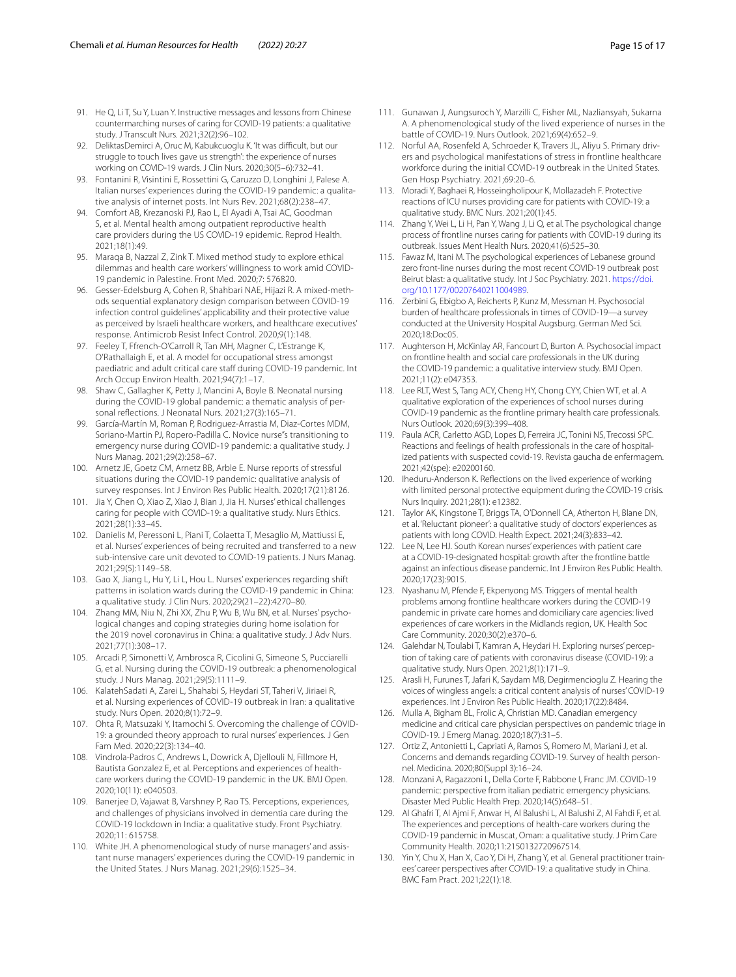- <span id="page-14-27"></span>91. He Q, Li T, Su Y, Luan Y. Instructive messages and lessons from Chinese countermarching nurses of caring for COVID-19 patients: a qualitative study. J Transcult Nurs. 2021;32(2):96–102.
- <span id="page-14-8"></span>92. DeliktasDemirci A, Oruc M, Kabukcuoglu K. 'It was difficult, but our struggle to touch lives gave us strength': the experience of nurses working on COVID-19 wards. J Clin Nurs. 2020;30(5–6):732–41.
- <span id="page-14-1"></span>93. Fontanini R, Visintini E, Rossettini G, Caruzzo D, Longhini J, Palese A. Italian nurses' experiences during the COVID-19 pandemic: a qualitative analysis of internet posts. Int Nurs Rev. 2021;68(2):238–47.
- <span id="page-14-4"></span>94. Comfort AB, Krezanoski PJ, Rao L, El Ayadi A, Tsai AC, Goodman S, et al. Mental health among outpatient reproductive health care providers during the US COVID-19 epidemic. Reprod Health. 2021;18(1):49.
- <span id="page-14-23"></span>95. Maraqa B, Nazzal Z, Zink T. Mixed method study to explore ethical dilemmas and health care workers' willingness to work amid COVID-19 pandemic in Palestine. Front Med. 2020;7: 576820.
- <span id="page-14-32"></span>96. Gesser-Edelsburg A, Cohen R, Shahbari NAE, Hijazi R. A mixed-methods sequential explanatory design comparison between COVID-19 infection control guidelines' applicability and their protective value as perceived by Israeli healthcare workers, and healthcare executives' response. Antimicrob Resist Infect Control. 2020;9(1):148.
- <span id="page-14-9"></span>97. Feeley T, Ffrench-O'Carroll R, Tan MH, Magner C, L'Estrange K, O'Rathallaigh E, et al. A model for occupational stress amongst paediatric and adult critical care staff during COVID-19 pandemic. Int Arch Occup Environ Health. 2021;94(7):1–17.
- <span id="page-14-12"></span>98. Shaw C, Gallagher K, Petty J, Mancini A, Boyle B. Neonatal nursing during the COVID-19 global pandemic: a thematic analysis of personal refections. J Neonatal Nurs. 2021;27(3):165–71.
- 99. García-Martín M, Roman P, Rodriguez-Arrastia M, Diaz-Cortes MDM, Soriano-Martin PJ, Ropero-Padilla C. Novice nurse"s transitioning to emergency nurse during COVID-19 pandemic: a qualitative study. J Nurs Manag. 2021;29(2):258–67.
- <span id="page-14-36"></span>100. Arnetz JE, Goetz CM, Arnetz BB, Arble E. Nurse reports of stressful situations during the COVID-19 pandemic: qualitative analysis of survey responses. Int J Environ Res Public Health. 2020;17(21):8126.
- <span id="page-14-5"></span>101. Jia Y, Chen O, Xiao Z, Xiao J, Bian J, Jia H. Nurses' ethical challenges caring for people with COVID-19: a qualitative study. Nurs Ethics. 2021;28(1):33–45.
- <span id="page-14-14"></span>102. Danielis M, Peressoni L, Piani T, Colaetta T, Mesaglio M, Mattiussi E, et al. Nurses' experiences of being recruited and transferred to a new sub-intensive care unit devoted to COVID-19 patients. J Nurs Manag. 2021;29(5):1149–58.
- <span id="page-14-6"></span>103. Gao X, Jiang L, Hu Y, Li L, Hou L. Nurses' experiences regarding shift patterns in isolation wards during the COVID-19 pandemic in China: a qualitative study. J Clin Nurs. 2020;29(21–22):4270–80.
- <span id="page-14-15"></span>104. Zhang MM, Niu N, Zhi XX, Zhu P, Wu B, Wu BN, et al. Nurses' psychological changes and coping strategies during home isolation for the 2019 novel coronavirus in China: a qualitative study. J Adv Nurs. 2021;77(1):308–17.
- <span id="page-14-24"></span>105. Arcadi P, Simonetti V, Ambrosca R, Cicolini G, Simeone S, Pucciarelli G, et al. Nursing during the COVID-19 outbreak: a phenomenological study. J Nurs Manag. 2021;29(5):1111–9.
- <span id="page-14-25"></span>106. KalatehSadati A, Zarei L, Shahabi S, Heydari ST, Taheri V, Jiriaei R, et al. Nursing experiences of COVID-19 outbreak in Iran: a qualitative study. Nurs Open. 2020;8(1):72–9.
- <span id="page-14-10"></span>107. Ohta R, Matsuzaki Y, Itamochi S. Overcoming the challenge of COVID-19: a grounded theory approach to rural nurses' experiences. J Gen Fam Med. 2020;22(3):134–40.
- <span id="page-14-28"></span>108. Vindrola-Padros C, Andrews L, Dowrick A, Djellouli N, Fillmore H, Bautista Gonzalez E, et al. Perceptions and experiences of healthcare workers during the COVID-19 pandemic in the UK. BMJ Open. 2020;10(11): e040503.
- <span id="page-14-7"></span>109. Banerjee D, Vajawat B, Varshney P, Rao TS. Perceptions, experiences, and challenges of physicians involved in dementia care during the COVID-19 lockdown in India: a qualitative study. Front Psychiatry. 2020;11: 615758.
- <span id="page-14-13"></span>110. White JH. A phenomenological study of nurse managers' and assistant nurse managers' experiences during the COVID-19 pandemic in the United States. J Nurs Manag. 2021;29(6):1525–34.
- <span id="page-14-26"></span>111. Gunawan J, Aungsuroch Y, Marzilli C, Fisher ML, Nazliansyah, Sukarna A. A phenomenological study of the lived experience of nurses in the battle of COVID-19. Nurs Outlook. 2021;69(4):652–9.
- <span id="page-14-11"></span>112. Norful AA, Rosenfeld A, Schroeder K, Travers JL, Aliyu S. Primary drivers and psychological manifestations of stress in frontline healthcare workforce during the initial COVID-19 outbreak in the United States. Gen Hosp Psychiatry. 2021;69:20–6.
- <span id="page-14-34"></span>113. Moradi Y, Baghaei R, Hosseingholipour K, Mollazadeh F. Protective reactions of ICU nurses providing care for patients with COVID-19: a qualitative study. BMC Nurs. 2021;20(1):45.
- <span id="page-14-16"></span>114. Zhang Y, Wei L, Li H, Pan Y, Wang J, Li Q, et al. The psychological change process of frontline nurses caring for patients with COVID-19 during its outbreak. Issues Ment Health Nurs. 2020;41(6):525–30.
- <span id="page-14-38"></span>115. Fawaz M, Itani M. The psychological experiences of Lebanese ground zero front-line nurses during the most recent COVID-19 outbreak post Beirut blast: a qualitative study. Int J Soc Psychiatry. 2021. [https://doi.](https://doi.org/10.1177/00207640211004989) [org/10.1177/00207640211004989](https://doi.org/10.1177/00207640211004989).
- <span id="page-14-31"></span>116. Zerbini G, Ebigbo A, Reicherts P, Kunz M, Messman H. Psychosocial burden of healthcare professionals in times of COVID-19—a survey conducted at the University Hospital Augsburg. German Med Sci. 2020;18:Doc05.
- <span id="page-14-17"></span>117. Aughterson H, McKinlay AR, Fancourt D, Burton A. Psychosocial impact on frontline health and social care professionals in the UK during the COVID-19 pandemic: a qualitative interview study. BMJ Open. 2021;11(2): e047353.
- <span id="page-14-33"></span>118. Lee RLT, West S, Tang ACY, Cheng HY, Chong CYY, Chien WT, et al. A qualitative exploration of the experiences of school nurses during COVID-19 pandemic as the frontline primary health care professionals. Nurs Outlook. 2020;69(3):399–408.
- <span id="page-14-18"></span>119. Paula ACR, Carletto AGD, Lopes D, Ferreira JC, Tonini NS, Trecossi SPC. Reactions and feelings of health professionals in the care of hospitalized patients with suspected covid-19. Revista gaucha de enfermagem. 2021;42(spe): e20200160.
- <span id="page-14-30"></span>120. Iheduru-Anderson K. Refections on the lived experience of working with limited personal protective equipment during the COVID-19 crisis. Nurs Inquiry. 2021;28(1): e12382.
- <span id="page-14-21"></span>121. Taylor AK, Kingstone T, Briggs TA, O'Donnell CA, Atherton H, Blane DN, et al. 'Reluctant pioneer': a qualitative study of doctors' experiences as patients with long COVID. Health Expect. 2021;24(3):833–42.
- <span id="page-14-19"></span>122. Lee N, Lee HJ. South Korean nurses' experiences with patient care at a COVID-19-designated hospital: growth after the frontline battle against an infectious disease pandemic. Int J Environ Res Public Health. 2020;17(23):9015.
- <span id="page-14-0"></span>123. Nyashanu M, Pfende F, Ekpenyong MS. Triggers of mental health problems among frontline healthcare workers during the COVID-19 pandemic in private care homes and domiciliary care agencies: lived experiences of care workers in the Midlands region, UK. Health Soc Care Community. 2020;30(2):e370–6.
- <span id="page-14-2"></span>124. Galehdar N, Toulabi T, Kamran A, Heydari H. Exploring nurses' perception of taking care of patients with coronavirus disease (COVID-19): a qualitative study. Nurs Open. 2021;8(1):171–9.
- <span id="page-14-3"></span>125. Arasli H, Furunes T, Jafari K, Saydam MB, Degirmencioglu Z. Hearing the voices of wingless angels: a critical content analysis of nurses' COVID-19 experiences. Int J Environ Res Public Health. 2020;17(22):8484.
- <span id="page-14-29"></span>126. Mulla A, Bigham BL, Frolic A, Christian MD. Canadian emergency medicine and critical care physician perspectives on pandemic triage in COVID-19. J Emerg Manag. 2020;18(7):31–5.
- <span id="page-14-35"></span>127. Ortiz Z, Antonietti L, Capriati A, Ramos S, Romero M, Mariani J, et al. Concerns and demands regarding COVID-19. Survey of health personnel. Medicina. 2020;80(Suppl 3):16–24.
- <span id="page-14-22"></span>128. Monzani A, Ragazzoni L, Della Corte F, Rabbone I, Franc JM. COVID-19 pandemic: perspective from italian pediatric emergency physicians. Disaster Med Public Health Prep. 2020;14(5):648–51.
- <span id="page-14-37"></span>129. Al Ghafri T, Al Ajmi F, Anwar H, Al Balushi L, Al Balushi Z, Al Fahdi F, et al. The experiences and perceptions of health-care workers during the COVID-19 pandemic in Muscat, Oman: a qualitative study. J Prim Care Community Health. 2020;11:2150132720967514.
- <span id="page-14-20"></span>130. Yin Y, Chu X, Han X, Cao Y, Di H, Zhang Y, et al. General practitioner trainees' career perspectives after COVID-19: a qualitative study in China. BMC Fam Pract. 2021;22(1):18.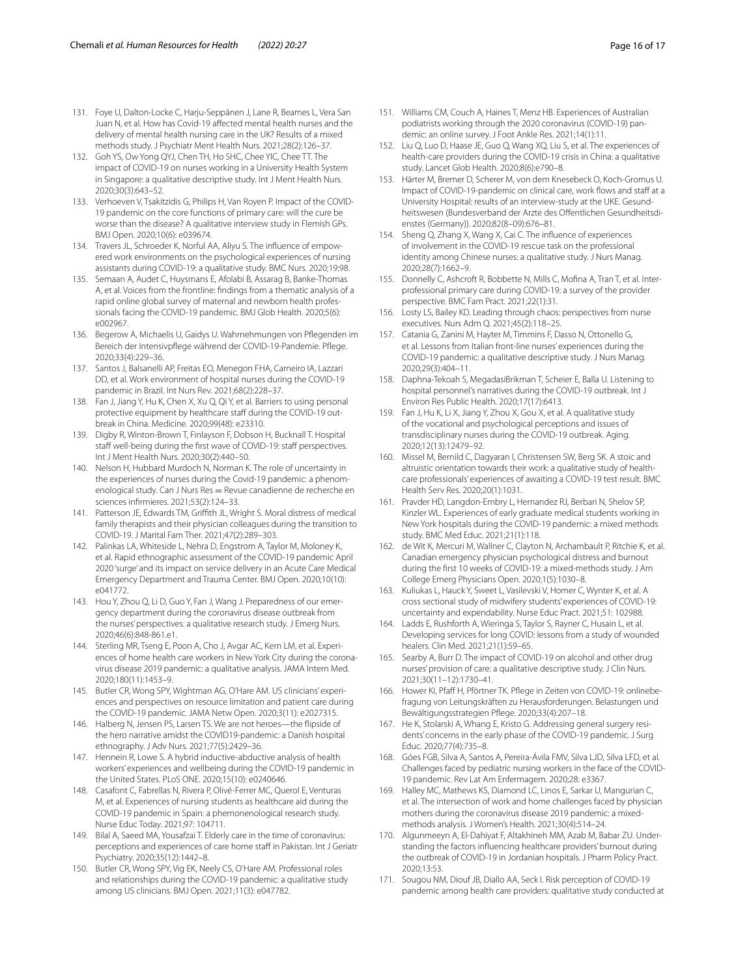- <span id="page-15-11"></span>131. Foye U, Dalton-Locke C, Harju-Seppänen J, Lane R, Beames L, Vera San Juan N, et al. How has Covid-19 afected mental health nurses and the delivery of mental health nursing care in the UK? Results of a mixed methods study. J Psychiatr Ment Health Nurs. 2021;28(2):126–37.
- <span id="page-15-12"></span>132. Goh YS, Ow Yong QYJ, Chen TH, Ho SHC, Chee YIC, Chee TT. The impact of COVID-19 on nurses working in a University Health System in Singapore: a qualitative descriptive study. Int J Ment Health Nurs. 2020;30(3):643–52.
- <span id="page-15-21"></span>133. Verhoeven V, Tsakitzidis G, Philips H, Van Royen P. Impact of the COVID-19 pandemic on the core functions of primary care: will the cure be worse than the disease? A qualitative interview study in Flemish GPs. BMJ Open. 2020;10(6): e039674.
- <span id="page-15-27"></span>134. Travers JL, Schroeder K, Norful AA, Aliyu S. The influence of empowered work environments on the psychological experiences of nursing assistants during COVID-19: a qualitative study. BMC Nurs. 2020;19:98.
- 135. Semaan A, Audet C, Huysmans E, Afolabi B, Assarag B, Banke-Thomas A, et al. Voices from the frontline: fndings from a thematic analysis of a rapid online global survey of maternal and newborn health professionals facing the COVID-19 pandemic. BMJ Glob Health. 2020;5(6): e002967.
- <span id="page-15-1"></span>136. Begerow A, Michaelis U, Gaidys U. Wahrnehmungen von Pfegenden im Bereich der Intensivpfege während der COVID-19-Pandemie. Pfege. 2020;33(4):229–36.
- <span id="page-15-19"></span>137. Santos J, Balsanelli AP, Freitas EO, Menegon FHA, Carneiro IA, Lazzari DD, et al. Work environment of hospital nurses during the COVID-19 pandemic in Brazil. Int Nurs Rev. 2021;68(2):228–37.
- 138. Fan J, Jiang Y, Hu K, Chen X, Xu Q, Qi Y, et al. Barriers to using personal protective equipment by healthcare staff during the COVID-19 outbreak in China. Medicine. 2020;99(48): e23310.
- <span id="page-15-4"></span>139. Digby R, Winton-Brown T, Finlayson F, Dobson H, Bucknall T. Hospital staff well-being during the first wave of COVID-19: staff perspectives. Int J Ment Health Nurs. 2020;30(2):440–50.
- <span id="page-15-0"></span>140. Nelson H, Hubbard Murdoch N, Norman K. The role of uncertainty in the experiences of nurses during the Covid-19 pandemic: a phenomenological study. Can J Nurs Res = Revue canadienne de recherche en sciences infrmieres. 2021;53(2):124–33.
- <span id="page-15-2"></span>141. Patterson JE, Edwards TM, Grifth JL, Wright S. Moral distress of medical family therapists and their physician colleagues during the transition to COVID-19. J Marital Fam Ther. 2021;47(2):289–303.
- 142. Palinkas LA, Whiteside L, Nehra D, Engstrom A, Taylor M, Moloney K, et al. Rapid ethnographic assessment of the COVID-19 pandemic April 2020 'surge' and its impact on service delivery in an Acute Care Medical Emergency Department and Trauma Center. BMJ Open. 2020;10(10): e041772.
- <span id="page-15-13"></span>143. Hou Y, Zhou Q, Li D, Guo Y, Fan J, Wang J. Preparedness of our emergency department during the coronavirus disease outbreak from the nurses' perspectives: a qualitative research study. J Emerg Nurs. 2020;46(6):848-861.e1.
- <span id="page-15-10"></span>144. Sterling MR, Tseng E, Poon A, Cho J, Avgar AC, Kern LM, et al. Experiences of home health care workers in New York City during the coronavirus disease 2019 pandemic: a qualitative analysis. JAMA Intern Med. 2020;180(11):1453–9.
- <span id="page-15-3"></span>145. Butler CR, Wong SPY, Wightman AG, O'Hare AM. US clinicians' experiences and perspectives on resource limitation and patient care during the COVID-19 pandemic. JAMA Netw Open. 2020;3(11): e2027315.
- <span id="page-15-5"></span>146. Halberg N, Jensen PS, Larsen TS. We are not heroes—the fipside of the hero narrative amidst the COVID19-pandemic: a Danish hospital ethnography. J Adv Nurs. 2021;77(5):2429–36.
- <span id="page-15-6"></span>147. Hennein R, Lowe S. A hybrid inductive-abductive analysis of health workers' experiences and wellbeing during the COVID-19 pandemic in the United States. PLoS ONE. 2020;15(10): e0240646.
- <span id="page-15-7"></span>148. Casafont C, Fabrellas N, Rivera P, Olivé-Ferrer MC, Querol E, Venturas M, et al. Experiences of nursing students as healthcare aid during the COVID-19 pandemic in Spain: a phemonenological research study. Nurse Educ Today. 2021;97: 104711.
- <span id="page-15-8"></span>149. Bilal A, Saeed MA, Yousafzai T. Elderly care in the time of coronavirus: perceptions and experiences of care home staff in Pakistan. Int J Geriatr Psychiatry. 2020;35(12):1442–8.
- <span id="page-15-9"></span>150. Butler CR, Wong SPY, Vig EK, Neely CS, O'Hare AM. Professional roles and relationships during the COVID-19 pandemic: a qualitative study among US clinicians. BMJ Open. 2021;11(3): e047782.
- <span id="page-15-20"></span>151. Williams CM, Couch A, Haines T, Menz HB. Experiences of Australian podiatrists working through the 2020 coronavirus (COVID-19) pandemic: an online survey. J Foot Ankle Res. 2021;14(1):11.
- <span id="page-15-29"></span>152. Liu Q, Luo D, Haase JE, Guo Q, Wang XQ, Liu S, et al. The experiences of health-care providers during the COVID-19 crisis in China: a qualitative study. Lancet Glob Health. 2020;8(6):e790–8.
- 153. Härter M, Bremer D, Scherer M, von dem Knesebeck O, Koch-Gromus U. Impact of COVID-19-pandemic on clinical care, work flows and staff at a University Hospital: results of an interview-study at the UKE. Gesundheitswesen (Bundesverband der Arzte des Offentlichen Gesundheitsdienstes (Germany)). 2020;82(8–09):676–81.
- 154. Sheng Q, Zhang X, Wang X, Cai C. The infuence of experiences of involvement in the COVID-19 rescue task on the professional identity among Chinese nurses: a qualitative study. J Nurs Manag. 2020;28(7):1662–9.
- <span id="page-15-22"></span>155. Donnelly C, Ashcroft R, Bobbette N, Mills C, Mofina A, Tran T, et al. Interprofessional primary care during COVID-19: a survey of the provider perspective. BMC Fam Pract. 2021;22(1):31.
- 156. Losty LS, Bailey KD. Leading through chaos: perspectives from nurse executives. Nurs Adm Q. 2021;45(2):118–25.
- 157. Catania G, Zanini M, Hayter M, Timmins F, Dasso N, Ottonello G, et al. Lessons from Italian front-line nurses' experiences during the COVID-19 pandemic: a qualitative descriptive study. J Nurs Manag. 2020;29(3):404–11.
- 158. Daphna-Tekoah S, MegadasiBrikman T, Scheier E, Balla U. Listening to hospital personnel's narratives during the COVID-19 outbreak. Int J Environ Res Public Health. 2020;17(17):6413.
- 159. Fan J, Hu K, Li X, Jiang Y, Zhou X, Gou X, et al. A qualitative study of the vocational and psychological perceptions and issues of transdisciplinary nurses during the COVID-19 outbreak. Aging. 2020;12(13):12479–92.
- <span id="page-15-17"></span>160. Missel M, Bernild C, Dagyaran I, Christensen SW, Berg SK. A stoic and altruistic orientation towards their work: a qualitative study of healthcare professionals' experiences of awaiting a COVID-19 test result. BMC Health Serv Res. 2020;20(1):1031.
- <span id="page-15-14"></span>161. Pravder HD, Langdon-Embry L, Hernandez RJ, Berbari N, Shelov SP, Kinzler WL. Experiences of early graduate medical students working in New York hospitals during the COVID-19 pandemic: a mixed methods study. BMC Med Educ. 2021;21(1):118.
- <span id="page-15-15"></span>162. de Wit K, Mercuri M, Wallner C, Clayton N, Archambault P, Ritchie K, et al. Canadian emergency physician psychological distress and burnout during the frst 10 weeks of COVID-19: a mixed-methods study. J Am College Emerg Physicians Open. 2020;1(5):1030–8.
- <span id="page-15-16"></span>163. Kuliukas L, Hauck Y, Sweet L, Vasilevski V, Homer C, Wynter K, et al. A cross sectional study of midwifery students' experiences of COVID-19: uncertainty and expendability. Nurse Educ Pract. 2021;51: 102988.
- <span id="page-15-18"></span>164. Ladds E, Rushforth A, Wieringa S, Taylor S, Rayner C, Husain L, et al. Developing services for long COVID: lessons from a study of wounded healers. Clin Med. 2021;21(1):59–65.
- <span id="page-15-23"></span>165. Searby A, Burr D. The impact of COVID-19 on alcohol and other drug nurses' provision of care: a qualitative descriptive study. J Clin Nurs. 2021;30(11–12):1730–41.
- <span id="page-15-24"></span>166. Hower KI, Pfaff H, Pförtner TK. Pflege in Zeiten von COVID-19: onlinebefragung von Leitungskräften zu Herausforderungen. Belastungen und Bewältigungsstrategien Pfege. 2020;33(4):207–18.
- <span id="page-15-25"></span>167. He K, Stolarski A, Whang E, Kristo G. Addressing general surgery resi‑ dents' concerns in the early phase of the COVID-19 pandemic. J Surg Educ. 2020;77(4):735–8.
- <span id="page-15-30"></span>168. Góes FGB, Silva A, Santos A, Pereira-Ávila FMV, Silva LJD, Silva LFD, et al. Challenges faced by pediatric nursing workers in the face of the COVID-19 pandemic. Rev Lat Am Enfermagem. 2020;28: e3367.
- <span id="page-15-28"></span>169. Halley MC, Mathews KS, Diamond LC, Linos E, Sarkar U, Mangurian C, et al. The intersection of work and home challenges faced by physician mothers during the coronavirus disease 2019 pandemic: a mixedmethods analysis. J Women's Health. 2021;30(4):514–24.
- 170. Algunmeeyn A, El-Dahiyat F, Altakhineh MM, Azab M, Babar ZU. Understanding the factors infuencing healthcare providers' burnout during the outbreak of COVID-19 in Jordanian hospitals. J Pharm Policy Pract. 2020;13:53.
- <span id="page-15-26"></span>171. Sougou NM, Diouf JB, Diallo AA, Seck I. Risk perception of COVID-19 pandemic among health care providers: qualitative study conducted at